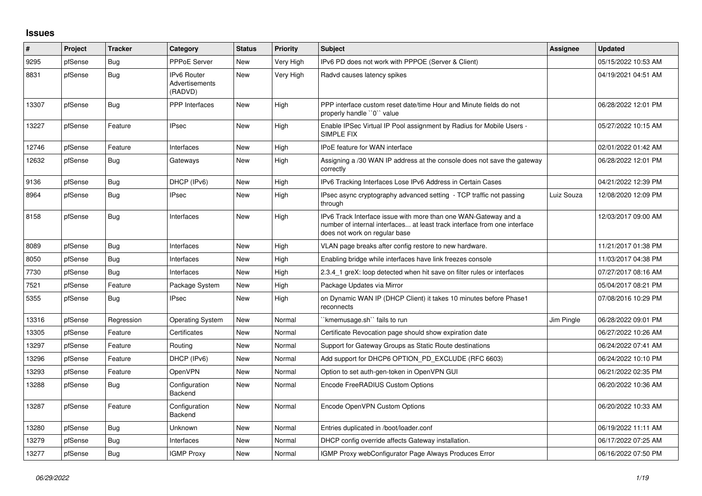## **Issues**

| #     | Project | <b>Tracker</b> | Category                                 | <b>Status</b> | <b>Priority</b> | <b>Subject</b>                                                                                                                                                                | Assignee   | <b>Updated</b>      |
|-------|---------|----------------|------------------------------------------|---------------|-----------------|-------------------------------------------------------------------------------------------------------------------------------------------------------------------------------|------------|---------------------|
| 9295  | pfSense | Bug            | <b>PPPoE Server</b>                      | <b>New</b>    | Very High       | IPv6 PD does not work with PPPOE (Server & Client)                                                                                                                            |            | 05/15/2022 10:53 AM |
| 8831  | pfSense | <b>Bug</b>     | IPv6 Router<br>Advertisements<br>(RADVD) | New           | Very High       | Radvd causes latency spikes                                                                                                                                                   |            | 04/19/2021 04:51 AM |
| 13307 | pfSense | <b>Bug</b>     | PPP Interfaces                           | <b>New</b>    | High            | PPP interface custom reset date/time Hour and Minute fields do not<br>properly handle "0" value                                                                               |            | 06/28/2022 12:01 PM |
| 13227 | pfSense | Feature        | <b>IPsec</b>                             | <b>New</b>    | High            | Enable IPSec Virtual IP Pool assignment by Radius for Mobile Users -<br><b>SIMPLE FIX</b>                                                                                     |            | 05/27/2022 10:15 AM |
| 12746 | pfSense | Feature        | Interfaces                               | <b>New</b>    | High            | IPoE feature for WAN interface                                                                                                                                                |            | 02/01/2022 01:42 AM |
| 12632 | pfSense | Bug            | Gateways                                 | <b>New</b>    | High            | Assigning a /30 WAN IP address at the console does not save the gateway<br>correctly                                                                                          |            | 06/28/2022 12:01 PM |
| 9136  | pfSense | Bug            | DHCP (IPv6)                              | <b>New</b>    | High            | IPv6 Tracking Interfaces Lose IPv6 Address in Certain Cases                                                                                                                   |            | 04/21/2022 12:39 PM |
| 8964  | pfSense | Bug            | <b>IPsec</b>                             | <b>New</b>    | High            | IPsec async cryptography advanced setting - TCP traffic not passing<br>through                                                                                                | Luiz Souza | 12/08/2020 12:09 PM |
| 8158  | pfSense | Bug            | Interfaces                               | New           | High            | IPv6 Track Interface issue with more than one WAN-Gateway and a<br>number of internal interfaces at least track interface from one interface<br>does not work on regular base |            | 12/03/2017 09:00 AM |
| 8089  | pfSense | Bug            | Interfaces                               | <b>New</b>    | High            | VLAN page breaks after config restore to new hardware.                                                                                                                        |            | 11/21/2017 01:38 PM |
| 8050  | pfSense | Bug            | Interfaces                               | New           | High            | Enabling bridge while interfaces have link freezes console                                                                                                                    |            | 11/03/2017 04:38 PM |
| 7730  | pfSense | Bug            | Interfaces                               | <b>New</b>    | High            | 2.3.4 1 greX: loop detected when hit save on filter rules or interfaces                                                                                                       |            | 07/27/2017 08:16 AM |
| 7521  | pfSense | Feature        | Package System                           | <b>New</b>    | High            | Package Updates via Mirror                                                                                                                                                    |            | 05/04/2017 08:21 PM |
| 5355  | pfSense | <b>Bug</b>     | <b>IPsec</b>                             | New           | High            | on Dynamic WAN IP (DHCP Client) it takes 10 minutes before Phase1<br>reconnects                                                                                               |            | 07/08/2016 10:29 PM |
| 13316 | pfSense | Regression     | <b>Operating System</b>                  | <b>New</b>    | Normal          | `kmemusage.sh`` fails to run                                                                                                                                                  | Jim Pingle | 06/28/2022 09:01 PM |
| 13305 | pfSense | Feature        | Certificates                             | <b>New</b>    | Normal          | Certificate Revocation page should show expiration date                                                                                                                       |            | 06/27/2022 10:26 AM |
| 13297 | pfSense | Feature        | Routing                                  | <b>New</b>    | Normal          | Support for Gateway Groups as Static Route destinations                                                                                                                       |            | 06/24/2022 07:41 AM |
| 13296 | pfSense | Feature        | DHCP (IPv6)                              | <b>New</b>    | Normal          | Add support for DHCP6 OPTION PD EXCLUDE (RFC 6603)                                                                                                                            |            | 06/24/2022 10:10 PM |
| 13293 | pfSense | Feature        | OpenVPN                                  | <b>New</b>    | Normal          | Option to set auth-gen-token in OpenVPN GUI                                                                                                                                   |            | 06/21/2022 02:35 PM |
| 13288 | pfSense | Bug            | Configuration<br>Backend                 | New           | Normal          | Encode FreeRADIUS Custom Options                                                                                                                                              |            | 06/20/2022 10:36 AM |
| 13287 | pfSense | Feature        | Configuration<br>Backend                 | <b>New</b>    | Normal          | Encode OpenVPN Custom Options                                                                                                                                                 |            | 06/20/2022 10:33 AM |
| 13280 | pfSense | Bug            | Unknown                                  | <b>New</b>    | Normal          | Entries duplicated in /boot/loader.conf                                                                                                                                       |            | 06/19/2022 11:11 AM |
| 13279 | pfSense | Bug            | Interfaces                               | <b>New</b>    | Normal          | DHCP config override affects Gateway installation.                                                                                                                            |            | 06/17/2022 07:25 AM |
| 13277 | pfSense | <b>Bug</b>     | <b>IGMP Proxy</b>                        | New           | Normal          | IGMP Proxy webConfigurator Page Always Produces Error                                                                                                                         |            | 06/16/2022 07:50 PM |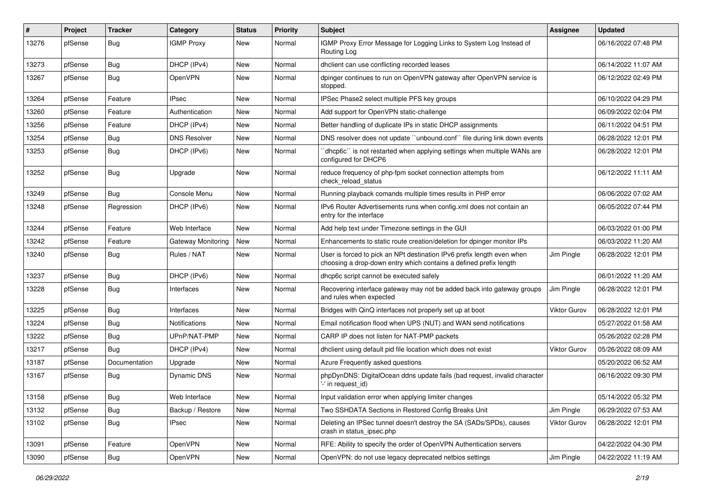| #     | Project | <b>Tracker</b> | Category           | <b>Status</b> | <b>Priority</b> | Subject                                                                                                                                     | <b>Assignee</b>     | <b>Updated</b>      |
|-------|---------|----------------|--------------------|---------------|-----------------|---------------------------------------------------------------------------------------------------------------------------------------------|---------------------|---------------------|
| 13276 | pfSense | <b>Bug</b>     | <b>IGMP Proxy</b>  | New           | Normal          | IGMP Proxy Error Message for Logging Links to System Log Instead of<br>Routing Log                                                          |                     | 06/16/2022 07:48 PM |
| 13273 | pfSense | Bug            | DHCP (IPv4)        | New           | Normal          | dhclient can use conflicting recorded leases                                                                                                |                     | 06/14/2022 11:07 AM |
| 13267 | pfSense | <b>Bug</b>     | OpenVPN            | New           | Normal          | dpinger continues to run on OpenVPN gateway after OpenVPN service is<br>stopped.                                                            |                     | 06/12/2022 02:49 PM |
| 13264 | pfSense | Feature        | <b>IPsec</b>       | New           | Normal          | IPSec Phase2 select multiple PFS key groups                                                                                                 |                     | 06/10/2022 04:29 PM |
| 13260 | pfSense | Feature        | Authentication     | New           | Normal          | Add support for OpenVPN static-challenge                                                                                                    |                     | 06/09/2022 02:04 PM |
| 13256 | pfSense | Feature        | DHCP (IPv4)        | New           | Normal          | Better handling of duplicate IPs in static DHCP assignments                                                                                 |                     | 06/11/2022 04:51 PM |
| 13254 | pfSense | Bug            | DNS Resolver       | New           | Normal          | DNS resolver does not update "unbound.conf" file during link down events                                                                    |                     | 06/28/2022 12:01 PM |
| 13253 | pfSense | <b>Bug</b>     | DHCP (IPv6)        | New           | Normal          | dhcp6c" is not restarted when applying settings when multiple WANs are<br>configured for DHCP6                                              |                     | 06/28/2022 12:01 PM |
| 13252 | pfSense | <b>Bug</b>     | Upgrade            | New           | Normal          | reduce frequency of php-fpm socket connection attempts from<br>check reload status                                                          |                     | 06/12/2022 11:11 AM |
| 13249 | pfSense | Bug            | Console Menu       | New           | Normal          | Running playback comands multiple times results in PHP error                                                                                |                     | 06/06/2022 07:02 AM |
| 13248 | pfSense | Regression     | DHCP (IPv6)        | New           | Normal          | IPv6 Router Advertisements runs when config.xml does not contain an<br>entry for the interface                                              |                     | 06/05/2022 07:44 PM |
| 13244 | pfSense | Feature        | Web Interface      | New           | Normal          | Add help text under Timezone settings in the GUI                                                                                            |                     | 06/03/2022 01:00 PM |
| 13242 | pfSense | Feature        | Gateway Monitoring | New           | Normal          | Enhancements to static route creation/deletion for dpinger monitor IPs                                                                      |                     | 06/03/2022 11:20 AM |
| 13240 | pfSense | <b>Bug</b>     | Rules / NAT        | <b>New</b>    | Normal          | User is forced to pick an NPt destination IPv6 prefix length even when<br>choosing a drop-down entry which contains a defined prefix length | Jim Pingle          | 06/28/2022 12:01 PM |
| 13237 | pfSense | <b>Bug</b>     | DHCP (IPv6)        | <b>New</b>    | Normal          | dhcp6c script cannot be executed safely                                                                                                     |                     | 06/01/2022 11:20 AM |
| 13228 | pfSense | <b>Bug</b>     | Interfaces         | New           | Normal          | Recovering interface gateway may not be added back into gateway groups<br>and rules when expected                                           | Jim Pingle          | 06/28/2022 12:01 PM |
| 13225 | pfSense | <b>Bug</b>     | Interfaces         | <b>New</b>    | Normal          | Bridges with QinQ interfaces not properly set up at boot                                                                                    | <b>Viktor Gurov</b> | 06/28/2022 12:01 PM |
| 13224 | pfSense | <b>Bug</b>     | Notifications      | New           | Normal          | Email notification flood when UPS (NUT) and WAN send notifications                                                                          |                     | 05/27/2022 01:58 AM |
| 13222 | pfSense | <b>Bug</b>     | UPnP/NAT-PMP       | New           | Normal          | CARP IP does not listen for NAT-PMP packets                                                                                                 |                     | 05/26/2022 02:28 PM |
| 13217 | pfSense | <b>Bug</b>     | DHCP (IPv4)        | New           | Normal          | dhclient using default pid file location which does not exist                                                                               | Viktor Gurov        | 05/26/2022 08:09 AM |
| 13187 | pfSense | Documentation  | Upgrade            | New           | Normal          | Azure Frequently asked questions                                                                                                            |                     | 05/20/2022 06:52 AM |
| 13167 | pfSense | <b>Bug</b>     | Dynamic DNS        | New           | Normal          | phpDynDNS: DigitalOcean ddns update fails (bad request, invalid character<br>'-' in request id)                                             |                     | 06/16/2022 09:30 PM |
| 13158 | pfSense | <b>Bug</b>     | Web Interface      | New           | Normal          | Input validation error when applying limiter changes                                                                                        |                     | 05/14/2022 05:32 PM |
| 13132 | pfSense | Bug            | Backup / Restore   | <b>New</b>    | Normal          | Two SSHDATA Sections in Restored Config Breaks Unit                                                                                         | Jim Pingle          | 06/29/2022 07:53 AM |
| 13102 | pfSense | <b>Bug</b>     | <b>IPsec</b>       | New           | Normal          | Deleting an IPSec tunnel doesn't destroy the SA (SADs/SPDs), causes<br>crash in status_ipsec.php                                            | <b>Viktor Gurov</b> | 06/28/2022 12:01 PM |
| 13091 | pfSense | Feature        | OpenVPN            | New           | Normal          | RFE: Ability to specify the order of OpenVPN Authentication servers                                                                         |                     | 04/22/2022 04:30 PM |
| 13090 | pfSense | Bug            | OpenVPN            | New           | Normal          | OpenVPN: do not use legacy deprecated netbios settings                                                                                      | Jim Pingle          | 04/22/2022 11:19 AM |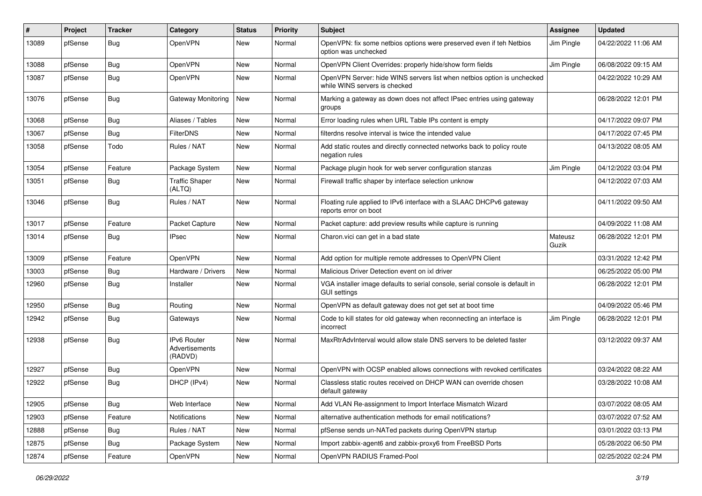| #     | Project | <b>Tracker</b> | Category                                        | <b>Status</b> | <b>Priority</b> | Subject                                                                                                  | <b>Assignee</b>  | <b>Updated</b>      |
|-------|---------|----------------|-------------------------------------------------|---------------|-----------------|----------------------------------------------------------------------------------------------------------|------------------|---------------------|
| 13089 | pfSense | Bug            | OpenVPN                                         | New           | Normal          | OpenVPN: fix some netbios options were preserved even if teh Netbios<br>option was unchecked             | Jim Pingle       | 04/22/2022 11:06 AM |
| 13088 | pfSense | Bug            | <b>OpenVPN</b>                                  | New           | Normal          | OpenVPN Client Overrides: properly hide/show form fields                                                 | Jim Pingle       | 06/08/2022 09:15 AM |
| 13087 | pfSense | <b>Bug</b>     | OpenVPN                                         | New           | Normal          | OpenVPN Server: hide WINS servers list when netbios option is unchecked<br>while WINS servers is checked |                  | 04/22/2022 10:29 AM |
| 13076 | pfSense | Bug            | Gateway Monitoring                              | New           | Normal          | Marking a gateway as down does not affect IPsec entries using gateway<br>groups                          |                  | 06/28/2022 12:01 PM |
| 13068 | pfSense | Bug            | Aliases / Tables                                | <b>New</b>    | Normal          | Error loading rules when URL Table IPs content is empty                                                  |                  | 04/17/2022 09:07 PM |
| 13067 | pfSense | <b>Bug</b>     | <b>FilterDNS</b>                                | New           | Normal          | filterdns resolve interval is twice the intended value                                                   |                  | 04/17/2022 07:45 PM |
| 13058 | pfSense | Todo           | Rules / NAT                                     | New           | Normal          | Add static routes and directly connected networks back to policy route<br>negation rules                 |                  | 04/13/2022 08:05 AM |
| 13054 | pfSense | Feature        | Package System                                  | <b>New</b>    | Normal          | Package plugin hook for web server configuration stanzas                                                 | Jim Pingle       | 04/12/2022 03:04 PM |
| 13051 | pfSense | <b>Bug</b>     | <b>Traffic Shaper</b><br>(ALTQ)                 | New           | Normal          | Firewall traffic shaper by interface selection unknow                                                    |                  | 04/12/2022 07:03 AM |
| 13046 | pfSense | <b>Bug</b>     | Rules / NAT                                     | New           | Normal          | Floating rule applied to IPv6 interface with a SLAAC DHCPv6 gateway<br>reports error on boot             |                  | 04/11/2022 09:50 AM |
| 13017 | pfSense | Feature        | Packet Capture                                  | New           | Normal          | Packet capture: add preview results while capture is running                                             |                  | 04/09/2022 11:08 AM |
| 13014 | pfSense | <b>Bug</b>     | <b>IPsec</b>                                    | New           | Normal          | Charon.vici can get in a bad state                                                                       | Mateusz<br>Guzik | 06/28/2022 12:01 PM |
| 13009 | pfSense | Feature        | OpenVPN                                         | New           | Normal          | Add option for multiple remote addresses to OpenVPN Client                                               |                  | 03/31/2022 12:42 PM |
| 13003 | pfSense | <b>Bug</b>     | Hardware / Drivers                              | New           | Normal          | Malicious Driver Detection event on ixl driver                                                           |                  | 06/25/2022 05:00 PM |
| 12960 | pfSense | <b>Bug</b>     | Installer                                       | New           | Normal          | VGA installer image defaults to serial console, serial console is default in<br><b>GUI settings</b>      |                  | 06/28/2022 12:01 PM |
| 12950 | pfSense | <b>Bug</b>     | Routing                                         | <b>New</b>    | Normal          | OpenVPN as default gateway does not get set at boot time                                                 |                  | 04/09/2022 05:46 PM |
| 12942 | pfSense | <b>Bug</b>     | Gateways                                        | New           | Normal          | Code to kill states for old gateway when reconnecting an interface is<br>incorrect                       | Jim Pingle       | 06/28/2022 12:01 PM |
| 12938 | pfSense | Bug            | <b>IPv6 Router</b><br>Advertisements<br>(RADVD) | New           | Normal          | MaxRtrAdvInterval would allow stale DNS servers to be deleted faster                                     |                  | 03/12/2022 09:37 AM |
| 12927 | pfSense | Bug            | OpenVPN                                         | <b>New</b>    | Normal          | OpenVPN with OCSP enabled allows connections with revoked certificates                                   |                  | 03/24/2022 08:22 AM |
| 12922 | pfSense | Bug            | DHCP (IPv4)                                     | New           | Normal          | Classless static routes received on DHCP WAN can override chosen<br>default gateway                      |                  | 03/28/2022 10:08 AM |
| 12905 | pfSense | Bug            | Web Interface                                   | New           | Normal          | Add VLAN Re-assignment to Import Interface Mismatch Wizard                                               |                  | 03/07/2022 08:05 AM |
| 12903 | pfSense | Feature        | Notifications                                   | New           | Normal          | alternative authentication methods for email notifications?                                              |                  | 03/07/2022 07:52 AM |
| 12888 | pfSense | <b>Bug</b>     | Rules / NAT                                     | <b>New</b>    | Normal          | pfSense sends un-NATed packets during OpenVPN startup                                                    |                  | 03/01/2022 03:13 PM |
| 12875 | pfSense | <b>Bug</b>     | Package System                                  | New           | Normal          | Import zabbix-agent6 and zabbix-proxy6 from FreeBSD Ports                                                |                  | 05/28/2022 06:50 PM |
| 12874 | pfSense | Feature        | OpenVPN                                         | New           | Normal          | OpenVPN RADIUS Framed-Pool                                                                               |                  | 02/25/2022 02:24 PM |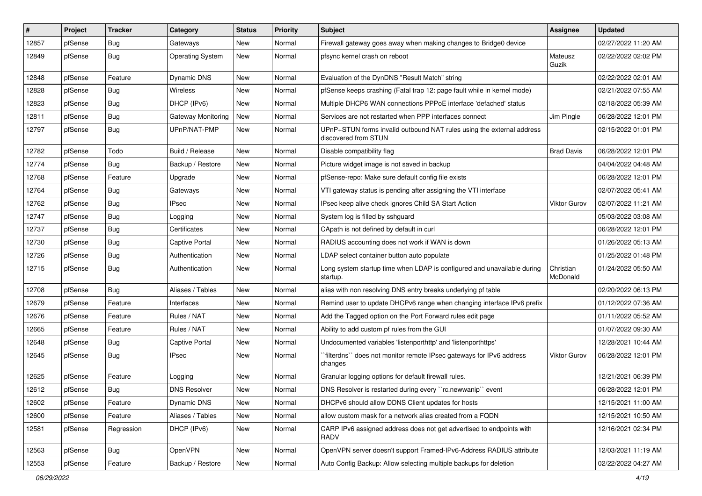| #     | Project | <b>Tracker</b> | Category                | <b>Status</b> | <b>Priority</b> | Subject                                                                                       | <b>Assignee</b>       | <b>Updated</b>      |
|-------|---------|----------------|-------------------------|---------------|-----------------|-----------------------------------------------------------------------------------------------|-----------------------|---------------------|
| 12857 | pfSense | <b>Bug</b>     | Gateways                | New           | Normal          | Firewall gateway goes away when making changes to Bridge0 device                              |                       | 02/27/2022 11:20 AM |
| 12849 | pfSense | <b>Bug</b>     | <b>Operating System</b> | New           | Normal          | pfsync kernel crash on reboot                                                                 | Mateusz<br>Guzik      | 02/22/2022 02:02 PM |
| 12848 | pfSense | Feature        | Dynamic DNS             | <b>New</b>    | Normal          | Evaluation of the DynDNS "Result Match" string                                                |                       | 02/22/2022 02:01 AM |
| 12828 | pfSense | <b>Bug</b>     | Wireless                | New           | Normal          | pfSense keeps crashing (Fatal trap 12: page fault while in kernel mode)                       |                       | 02/21/2022 07:55 AM |
| 12823 | pfSense | Bug            | DHCP (IPv6)             | New           | Normal          | Multiple DHCP6 WAN connections PPPoE interface 'defached' status                              |                       | 02/18/2022 05:39 AM |
| 12811 | pfSense | <b>Bug</b>     | Gateway Monitoring      | New           | Normal          | Services are not restarted when PPP interfaces connect                                        | Jim Pingle            | 06/28/2022 12:01 PM |
| 12797 | pfSense | <b>Bug</b>     | UPnP/NAT-PMP            | <b>New</b>    | Normal          | UPnP+STUN forms invalid outbound NAT rules using the external address<br>discovered from STUN |                       | 02/15/2022 01:01 PM |
| 12782 | pfSense | Todo           | Build / Release         | New           | Normal          | Disable compatibility flag                                                                    | <b>Brad Davis</b>     | 06/28/2022 12:01 PM |
| 12774 | pfSense | <b>Bug</b>     | Backup / Restore        | New           | Normal          | Picture widget image is not saved in backup                                                   |                       | 04/04/2022 04:48 AM |
| 12768 | pfSense | Feature        | Upgrade                 | New           | Normal          | pfSense-repo: Make sure default config file exists                                            |                       | 06/28/2022 12:01 PM |
| 12764 | pfSense | <b>Bug</b>     | Gateways                | New           | Normal          | VTI gateway status is pending after assigning the VTI interface                               |                       | 02/07/2022 05:41 AM |
| 12762 | pfSense | <b>Bug</b>     | <b>IPsec</b>            | New           | Normal          | IPsec keep alive check ignores Child SA Start Action                                          | <b>Viktor Gurov</b>   | 02/07/2022 11:21 AM |
| 12747 | pfSense | <b>Bug</b>     | Logging                 | New           | Normal          | System log is filled by sshguard                                                              |                       | 05/03/2022 03:08 AM |
| 12737 | pfSense | Bug            | Certificates            | <b>New</b>    | Normal          | CApath is not defined by default in curl                                                      |                       | 06/28/2022 12:01 PM |
| 12730 | pfSense | <b>Bug</b>     | Captive Portal          | New           | Normal          | RADIUS accounting does not work if WAN is down                                                |                       | 01/26/2022 05:13 AM |
| 12726 | pfSense | <b>Bug</b>     | Authentication          | New           | Normal          | LDAP select container button auto populate                                                    |                       | 01/25/2022 01:48 PM |
| 12715 | pfSense | <b>Bug</b>     | Authentication          | New           | Normal          | Long system startup time when LDAP is configured and unavailable during<br>startup.           | Christian<br>McDonald | 01/24/2022 05:50 AM |
| 12708 | pfSense | Bug            | Aliases / Tables        | <b>New</b>    | Normal          | alias with non resolving DNS entry breaks underlying pf table                                 |                       | 02/20/2022 06:13 PM |
| 12679 | pfSense | Feature        | Interfaces              | New           | Normal          | Remind user to update DHCPv6 range when changing interface IPv6 prefix                        |                       | 01/12/2022 07:36 AM |
| 12676 | pfSense | Feature        | Rules / NAT             | New           | Normal          | Add the Tagged option on the Port Forward rules edit page                                     |                       | 01/11/2022 05:52 AM |
| 12665 | pfSense | Feature        | Rules / NAT             | New           | Normal          | Ability to add custom pf rules from the GUI                                                   |                       | 01/07/2022 09:30 AM |
| 12648 | pfSense | Bug            | Captive Portal          | New           | Normal          | Undocumented variables 'listenporthttp' and 'listenporthttps'                                 |                       | 12/28/2021 10:44 AM |
| 12645 | pfSense | <b>Bug</b>     | <b>IPsec</b>            | <b>New</b>    | Normal          | `filterdns`` does not monitor remote IPsec gateways for IPv6 address<br>changes               | Viktor Gurov          | 06/28/2022 12:01 PM |
| 12625 | pfSense | Feature        | Logging                 | New           | Normal          | Granular logging options for default firewall rules.                                          |                       | 12/21/2021 06:39 PM |
| 12612 | pfSense | Bug            | <b>DNS Resolver</b>     | New           | Normal          | DNS Resolver is restarted during every "rc.newwanip" event                                    |                       | 06/28/2022 12:01 PM |
| 12602 | pfSense | Feature        | Dynamic DNS             | New           | Normal          | DHCPv6 should allow DDNS Client updates for hosts                                             |                       | 12/15/2021 11:00 AM |
| 12600 | pfSense | Feature        | Aliases / Tables        | New           | Normal          | allow custom mask for a network alias created from a FQDN                                     |                       | 12/15/2021 10:50 AM |
| 12581 | pfSense | Regression     | DHCP (IPv6)             | New           | Normal          | CARP IPv6 assigned address does not get advertised to endpoints with<br>RADV                  |                       | 12/16/2021 02:34 PM |
| 12563 | pfSense | <b>Bug</b>     | OpenVPN                 | New           | Normal          | OpenVPN server doesn't support Framed-IPv6-Address RADIUS attribute                           |                       | 12/03/2021 11:19 AM |
| 12553 | pfSense | Feature        | Backup / Restore        | New           | Normal          | Auto Config Backup: Allow selecting multiple backups for deletion                             |                       | 02/22/2022 04:27 AM |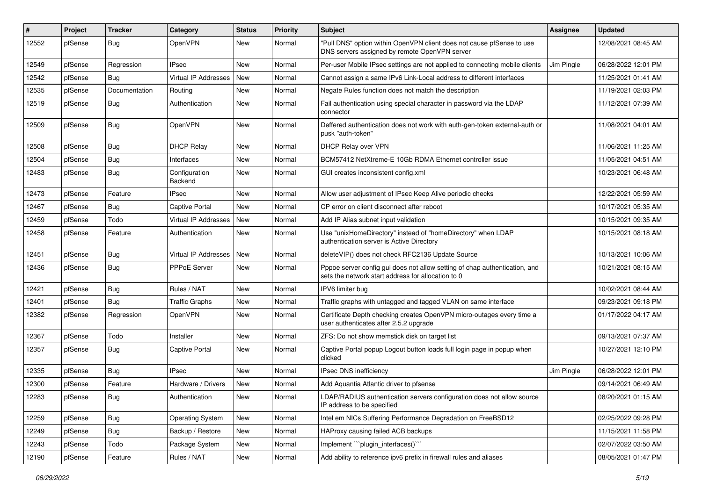| $\#$  | Project | <b>Tracker</b> | Category                    | <b>Status</b> | <b>Priority</b> | <b>Subject</b>                                                                                                                   | <b>Assignee</b> | <b>Updated</b>      |
|-------|---------|----------------|-----------------------------|---------------|-----------------|----------------------------------------------------------------------------------------------------------------------------------|-----------------|---------------------|
| 12552 | pfSense | <b>Bug</b>     | OpenVPN                     | New           | Normal          | "Pull DNS" option within OpenVPN client does not cause pfSense to use<br>DNS servers assigned by remote OpenVPN server           |                 | 12/08/2021 08:45 AM |
| 12549 | pfSense | Regression     | <b>IPsec</b>                | New           | Normal          | Per-user Mobile IPsec settings are not applied to connecting mobile clients                                                      | Jim Pingle      | 06/28/2022 12:01 PM |
| 12542 | pfSense | <b>Bug</b>     | Virtual IP Addresses        | <b>New</b>    | Normal          | Cannot assign a same IPv6 Link-Local address to different interfaces                                                             |                 | 11/25/2021 01:41 AM |
| 12535 | pfSense | Documentation  | Routing                     | <b>New</b>    | Normal          | Negate Rules function does not match the description                                                                             |                 | 11/19/2021 02:03 PM |
| 12519 | pfSense | <b>Bug</b>     | Authentication              | New           | Normal          | Fail authentication using special character in password via the LDAP<br>connector                                                |                 | 11/12/2021 07:39 AM |
| 12509 | pfSense | <b>Bug</b>     | OpenVPN                     | New           | Normal          | Deffered authentication does not work with auth-gen-token external-auth or<br>pusk "auth-token"                                  |                 | 11/08/2021 04:01 AM |
| 12508 | pfSense | Bug            | <b>DHCP Relay</b>           | <b>New</b>    | Normal          | DHCP Relay over VPN                                                                                                              |                 | 11/06/2021 11:25 AM |
| 12504 | pfSense | Bug            | Interfaces                  | New           | Normal          | BCM57412 NetXtreme-E 10Gb RDMA Ethernet controller issue                                                                         |                 | 11/05/2021 04:51 AM |
| 12483 | pfSense | <b>Bug</b>     | Configuration<br>Backend    | New           | Normal          | GUI creates inconsistent config.xml                                                                                              |                 | 10/23/2021 06:48 AM |
| 12473 | pfSense | Feature        | <b>IPsec</b>                | New           | Normal          | Allow user adjustment of IPsec Keep Alive periodic checks                                                                        |                 | 12/22/2021 05:59 AM |
| 12467 | pfSense | <b>Bug</b>     | Captive Portal              | New           | Normal          | CP error on client disconnect after reboot                                                                                       |                 | 10/17/2021 05:35 AM |
| 12459 | pfSense | Todo           | <b>Virtual IP Addresses</b> | <b>New</b>    | Normal          | Add IP Alias subnet input validation                                                                                             |                 | 10/15/2021 09:35 AM |
| 12458 | pfSense | Feature        | Authentication              | New           | Normal          | Use "unixHomeDirectory" instead of "homeDirectory" when LDAP<br>authentication server is Active Directory                        |                 | 10/15/2021 08:18 AM |
| 12451 | pfSense | <b>Bug</b>     | Virtual IP Addresses        | New           | Normal          | deleteVIP() does not check RFC2136 Update Source                                                                                 |                 | 10/13/2021 10:06 AM |
| 12436 | pfSense | <b>Bug</b>     | PPPoE Server                | New           | Normal          | Pppoe server config gui does not allow setting of chap authentication, and<br>sets the network start address for allocation to 0 |                 | 10/21/2021 08:15 AM |
| 12421 | pfSense | <b>Bug</b>     | Rules / NAT                 | New           | Normal          | IPV6 limiter bug                                                                                                                 |                 | 10/02/2021 08:44 AM |
| 12401 | pfSense | <b>Bug</b>     | <b>Traffic Graphs</b>       | New           | Normal          | Traffic graphs with untagged and tagged VLAN on same interface                                                                   |                 | 09/23/2021 09:18 PM |
| 12382 | pfSense | Regression     | OpenVPN                     | <b>New</b>    | Normal          | Certificate Depth checking creates OpenVPN micro-outages every time a<br>user authenticates after 2.5.2 upgrade                  |                 | 01/17/2022 04:17 AM |
| 12367 | pfSense | Todo           | Installer                   | <b>New</b>    | Normal          | ZFS: Do not show memstick disk on target list                                                                                    |                 | 09/13/2021 07:37 AM |
| 12357 | pfSense | <b>Bug</b>     | Captive Portal              | New           | Normal          | Captive Portal popup Logout button loads full login page in popup when<br>clicked                                                |                 | 10/27/2021 12:10 PM |
| 12335 | pfSense | Bug            | <b>IPsec</b>                | <b>New</b>    | Normal          | IPsec DNS inefficiency                                                                                                           | Jim Pingle      | 06/28/2022 12:01 PM |
| 12300 | pfSense | Feature        | Hardware / Drivers          | New           | Normal          | Add Aquantia Atlantic driver to pfsense                                                                                          |                 | 09/14/2021 06:49 AM |
| 12283 | pfSense | <b>Bug</b>     | Authentication              | New           | Normal          | LDAP/RADIUS authentication servers configuration does not allow source<br>IP address to be specified                             |                 | 08/20/2021 01:15 AM |
| 12259 | pfSense | Bug            | <b>Operating System</b>     | <b>New</b>    | Normal          | Intel em NICs Suffering Performance Degradation on FreeBSD12                                                                     |                 | 02/25/2022 09:28 PM |
| 12249 | pfSense | <b>Bug</b>     | Backup / Restore            | <b>New</b>    | Normal          | HAProxy causing failed ACB backups                                                                                               |                 | 11/15/2021 11:58 PM |
| 12243 | pfSense | Todo           | Package System              | New           | Normal          | Implement "``plugin_interfaces()```                                                                                              |                 | 02/07/2022 03:50 AM |
| 12190 | pfSense | Feature        | Rules / NAT                 | New           | Normal          | Add ability to reference ipv6 prefix in firewall rules and aliases                                                               |                 | 08/05/2021 01:47 PM |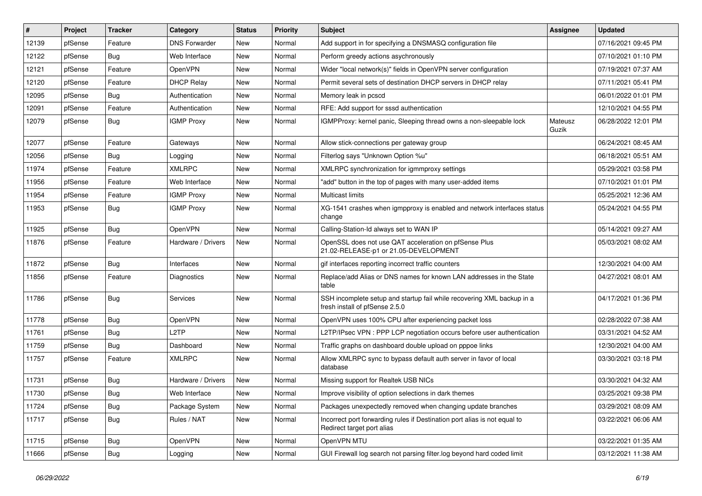| #     | Project | <b>Tracker</b> | Category             | <b>Status</b> | <b>Priority</b> | <b>Subject</b>                                                                                           | <b>Assignee</b>  | <b>Updated</b>      |
|-------|---------|----------------|----------------------|---------------|-----------------|----------------------------------------------------------------------------------------------------------|------------------|---------------------|
| 12139 | pfSense | Feature        | <b>DNS Forwarder</b> | New           | Normal          | Add support in for specifying a DNSMASQ configuration file                                               |                  | 07/16/2021 09:45 PM |
| 12122 | pfSense | Bug            | Web Interface        | <b>New</b>    | Normal          | Perform greedy actions asychronously                                                                     |                  | 07/10/2021 01:10 PM |
| 12121 | pfSense | Feature        | OpenVPN              | New           | Normal          | Wider "local network(s)" fields in OpenVPN server configuration                                          |                  | 07/19/2021 07:37 AM |
| 12120 | pfSense | Feature        | <b>DHCP Relay</b>    | <b>New</b>    | Normal          | Permit several sets of destination DHCP servers in DHCP relay                                            |                  | 07/11/2021 05:41 PM |
| 12095 | pfSense | Bug            | Authentication       | <b>New</b>    | Normal          | Memory leak in pcscd                                                                                     |                  | 06/01/2022 01:01 PM |
| 12091 | pfSense | Feature        | Authentication       | New           | Normal          | RFE: Add support for sssd authentication                                                                 |                  | 12/10/2021 04:55 PM |
| 12079 | pfSense | Bug            | <b>IGMP Proxy</b>    | New           | Normal          | IGMPProxy: kernel panic, Sleeping thread owns a non-sleepable lock                                       | Mateusz<br>Guzik | 06/28/2022 12:01 PM |
| 12077 | pfSense | Feature        | Gateways             | <b>New</b>    | Normal          | Allow stick-connections per gateway group                                                                |                  | 06/24/2021 08:45 AM |
| 12056 | pfSense | <b>Bug</b>     | Logging              | <b>New</b>    | Normal          | Filterlog says "Unknown Option %u"                                                                       |                  | 06/18/2021 05:51 AM |
| 11974 | pfSense | Feature        | XMLRPC               | New           | Normal          | XMLRPC synchronization for igmmproxy settings                                                            |                  | 05/29/2021 03:58 PM |
| 11956 | pfSense | Feature        | Web Interface        | New           | Normal          | "add" button in the top of pages with many user-added items                                              |                  | 07/10/2021 01:01 PM |
| 11954 | pfSense | Feature        | <b>IGMP Proxy</b>    | New           | Normal          | <b>Multicast limits</b>                                                                                  |                  | 05/25/2021 12:36 AM |
| 11953 | pfSense | Bug            | <b>IGMP Proxy</b>    | New           | Normal          | XG-1541 crashes when igmpproxy is enabled and network interfaces status<br>change                        |                  | 05/24/2021 04:55 PM |
| 11925 | pfSense | Bug            | OpenVPN              | New           | Normal          | Calling-Station-Id always set to WAN IP                                                                  |                  | 05/14/2021 09:27 AM |
| 11876 | pfSense | Feature        | Hardware / Drivers   | New           | Normal          | OpenSSL does not use QAT acceleration on pfSense Plus<br>21.02-RELEASE-p1 or 21.05-DEVELOPMENT           |                  | 05/03/2021 08:02 AM |
| 11872 | pfSense | Bug            | Interfaces           | New           | Normal          | gif interfaces reporting incorrect traffic counters                                                      |                  | 12/30/2021 04:00 AM |
| 11856 | pfSense | Feature        | Diagnostics          | New           | Normal          | Replace/add Alias or DNS names for known LAN addresses in the State<br>table                             |                  | 04/27/2021 08:01 AM |
| 11786 | pfSense | Bug            | Services             | New           | Normal          | SSH incomplete setup and startup fail while recovering XML backup in a<br>fresh install of pfSense 2.5.0 |                  | 04/17/2021 01:36 PM |
| 11778 | pfSense | Bug            | OpenVPN              | <b>New</b>    | Normal          | OpenVPN uses 100% CPU after experiencing packet loss                                                     |                  | 02/28/2022 07:38 AM |
| 11761 | pfSense | Bug            | L2TP                 | <b>New</b>    | Normal          | L2TP/IPsec VPN : PPP LCP negotiation occurs before user authentication                                   |                  | 03/31/2021 04:52 AM |
| 11759 | pfSense | Bug            | Dashboard            | New           | Normal          | Traffic graphs on dashboard double upload on pppoe links                                                 |                  | 12/30/2021 04:00 AM |
| 11757 | pfSense | Feature        | <b>XMLRPC</b>        | New           | Normal          | Allow XMLRPC sync to bypass default auth server in favor of local<br>database                            |                  | 03/30/2021 03:18 PM |
| 11731 | pfSense | Bug            | Hardware / Drivers   | <b>New</b>    | Normal          | Missing support for Realtek USB NICs                                                                     |                  | 03/30/2021 04:32 AM |
| 11730 | pfSense | Bug            | Web Interface        | New           | Normal          | Improve visibility of option selections in dark themes                                                   |                  | 03/25/2021 09:38 PM |
| 11724 | pfSense | <b>Bug</b>     | Package System       | New           | Normal          | Packages unexpectedly removed when changing update branches                                              |                  | 03/29/2021 08:09 AM |
| 11717 | pfSense | <b>Bug</b>     | Rules / NAT          | New           | Normal          | Incorrect port forwarding rules if Destination port alias is not equal to<br>Redirect target port alias  |                  | 03/22/2021 06:06 AM |
| 11715 | pfSense | Bug            | OpenVPN              | New           | Normal          | OpenVPN MTU                                                                                              |                  | 03/22/2021 01:35 AM |
| 11666 | pfSense | Bug            | Logging              | New           | Normal          | GUI Firewall log search not parsing filter.log beyond hard coded limit                                   |                  | 03/12/2021 11:38 AM |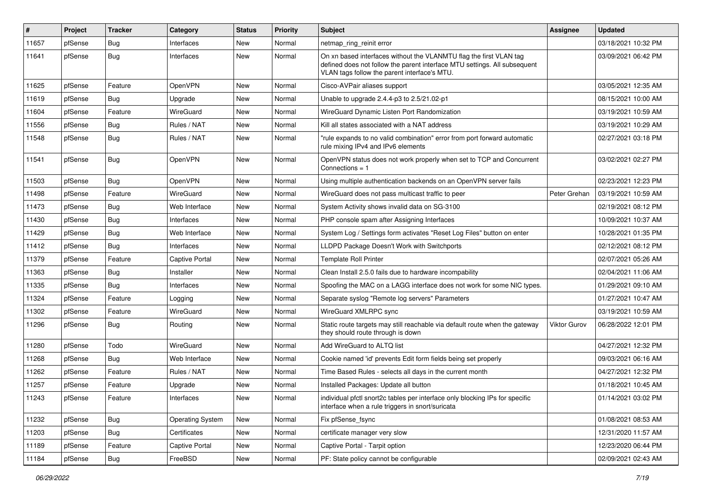| $\vert$ # | Project | <b>Tracker</b> | Category                | <b>Status</b> | <b>Priority</b> | Subject                                                                                                                                                                                         | <b>Assignee</b> | <b>Updated</b>      |
|-----------|---------|----------------|-------------------------|---------------|-----------------|-------------------------------------------------------------------------------------------------------------------------------------------------------------------------------------------------|-----------------|---------------------|
| 11657     | pfSense | <b>Bug</b>     | Interfaces              | New           | Normal          | netmap_ring_reinit error                                                                                                                                                                        |                 | 03/18/2021 10:32 PM |
| 11641     | pfSense | Bug            | Interfaces              | New           | Normal          | On xn based interfaces without the VLANMTU flag the first VLAN tag<br>defined does not follow the parent interface MTU settings. All subsequent<br>VLAN tags follow the parent interface's MTU. |                 | 03/09/2021 06:42 PM |
| 11625     | pfSense | Feature        | OpenVPN                 | <b>New</b>    | Normal          | Cisco-AVPair aliases support                                                                                                                                                                    |                 | 03/05/2021 12:35 AM |
| 11619     | pfSense | Bug            | Upgrade                 | New           | Normal          | Unable to upgrade 2.4.4-p3 to 2.5/21.02-p1                                                                                                                                                      |                 | 08/15/2021 10:00 AM |
| 11604     | pfSense | Feature        | WireGuard               | New           | Normal          | WireGuard Dynamic Listen Port Randomization                                                                                                                                                     |                 | 03/19/2021 10:59 AM |
| 11556     | pfSense | Bug            | Rules / NAT             | <b>New</b>    | Normal          | Kill all states associated with a NAT address                                                                                                                                                   |                 | 03/19/2021 10:29 AM |
| 11548     | pfSense | <b>Bug</b>     | Rules / NAT             | New           | Normal          | "rule expands to no valid combination" error from port forward automatic<br>rule mixing IPv4 and IPv6 elements                                                                                  |                 | 02/27/2021 03:18 PM |
| 11541     | pfSense | <b>Bug</b>     | OpenVPN                 | <b>New</b>    | Normal          | OpenVPN status does not work properly when set to TCP and Concurrent<br>Connections $= 1$                                                                                                       |                 | 03/02/2021 02:27 PM |
| 11503     | pfSense | Bug            | OpenVPN                 | <b>New</b>    | Normal          | Using multiple authentication backends on an OpenVPN server fails                                                                                                                               |                 | 02/23/2021 12:23 PM |
| 11498     | pfSense | Feature        | WireGuard               | New           | Normal          | WireGuard does not pass multicast traffic to peer                                                                                                                                               | Peter Grehan    | 03/19/2021 10:59 AM |
| 11473     | pfSense | Bug            | Web Interface           | New           | Normal          | System Activity shows invalid data on SG-3100                                                                                                                                                   |                 | 02/19/2021 08:12 PM |
| 11430     | pfSense | Bug            | Interfaces              | New           | Normal          | PHP console spam after Assigning Interfaces                                                                                                                                                     |                 | 10/09/2021 10:37 AM |
| 11429     | pfSense | Bug            | Web Interface           | New           | Normal          | System Log / Settings form activates "Reset Log Files" button on enter                                                                                                                          |                 | 10/28/2021 01:35 PM |
| 11412     | pfSense | Bug            | Interfaces              | New           | Normal          | LLDPD Package Doesn't Work with Switchports                                                                                                                                                     |                 | 02/12/2021 08:12 PM |
| 11379     | pfSense | Feature        | Captive Portal          | New           | Normal          | <b>Template Roll Printer</b>                                                                                                                                                                    |                 | 02/07/2021 05:26 AM |
| 11363     | pfSense | Bug            | Installer               | New           | Normal          | Clean Install 2.5.0 fails due to hardware incompability                                                                                                                                         |                 | 02/04/2021 11:06 AM |
| 11335     | pfSense | <b>Bug</b>     | Interfaces              | <b>New</b>    | Normal          | Spoofing the MAC on a LAGG interface does not work for some NIC types.                                                                                                                          |                 | 01/29/2021 09:10 AM |
| 11324     | pfSense | Feature        | Logging                 | New           | Normal          | Separate syslog "Remote log servers" Parameters                                                                                                                                                 |                 | 01/27/2021 10:47 AM |
| 11302     | pfSense | Feature        | WireGuard               | New           | Normal          | WireGuard XMLRPC sync                                                                                                                                                                           |                 | 03/19/2021 10:59 AM |
| 11296     | pfSense | Bug            | Routing                 | New           | Normal          | Static route targets may still reachable via default route when the gateway<br>they should route through is down                                                                                | Viktor Gurov    | 06/28/2022 12:01 PM |
| 11280     | pfSense | Todo           | WireGuard               | <b>New</b>    | Normal          | Add WireGuard to ALTQ list                                                                                                                                                                      |                 | 04/27/2021 12:32 PM |
| 11268     | pfSense | Bug            | Web Interface           | New           | Normal          | Cookie named 'id' prevents Edit form fields being set properly                                                                                                                                  |                 | 09/03/2021 06:16 AM |
| 11262     | pfSense | Feature        | Rules / NAT             | <b>New</b>    | Normal          | Time Based Rules - selects all days in the current month                                                                                                                                        |                 | 04/27/2021 12:32 PM |
| 11257     | pfSense | Feature        | Upgrade                 | New           | Normal          | Installed Packages: Update all button                                                                                                                                                           |                 | 01/18/2021 10:45 AM |
| 11243     | pfSense | Feature        | Interfaces              | <b>New</b>    | Normal          | individual pfctl snort2c tables per interface only blocking IPs for specific<br>interface when a rule triggers in snort/suricata                                                                |                 | 01/14/2021 03:02 PM |
| 11232     | pfSense | Bug            | <b>Operating System</b> | New           | Normal          | Fix pfSense_fsync                                                                                                                                                                               |                 | 01/08/2021 08:53 AM |
| 11203     | pfSense | <b>Bug</b>     | Certificates            | New           | Normal          | certificate manager very slow                                                                                                                                                                   |                 | 12/31/2020 11:57 AM |
| 11189     | pfSense | Feature        | Captive Portal          | New           | Normal          | Captive Portal - Tarpit option                                                                                                                                                                  |                 | 12/23/2020 06:44 PM |
| 11184     | pfSense | Bug            | FreeBSD                 | New           | Normal          | PF: State policy cannot be configurable                                                                                                                                                         |                 | 02/09/2021 02:43 AM |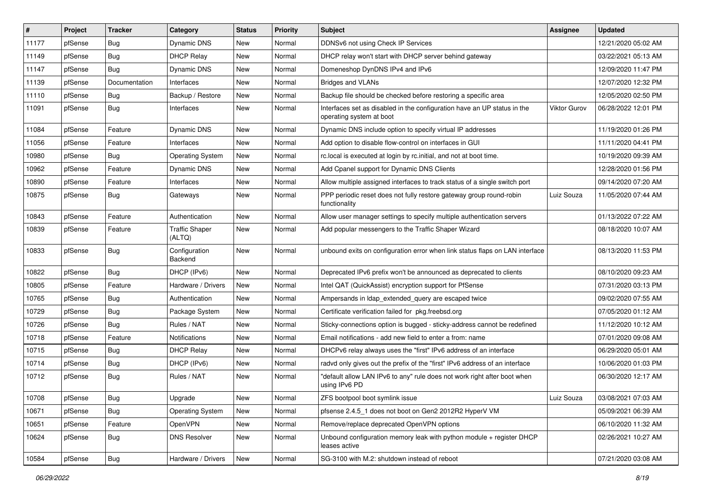| $\vert$ # | Project | <b>Tracker</b> | Category                        | <b>Status</b> | <b>Priority</b> | <b>Subject</b>                                                                                       | <b>Assignee</b>     | <b>Updated</b>      |
|-----------|---------|----------------|---------------------------------|---------------|-----------------|------------------------------------------------------------------------------------------------------|---------------------|---------------------|
| 11177     | pfSense | <b>Bug</b>     | Dynamic DNS                     | New           | Normal          | DDNSv6 not using Check IP Services                                                                   |                     | 12/21/2020 05:02 AM |
| 11149     | pfSense | Bug            | <b>DHCP Relay</b>               | <b>New</b>    | Normal          | DHCP relay won't start with DHCP server behind gateway                                               |                     | 03/22/2021 05:13 AM |
| 11147     | pfSense | <b>Bug</b>     | Dynamic DNS                     | New           | Normal          | Domeneshop DynDNS IPv4 and IPv6                                                                      |                     | 12/09/2020 11:47 PM |
| 11139     | pfSense | Documentation  | Interfaces                      | New           | Normal          | Bridges and VLANs                                                                                    |                     | 12/07/2020 12:32 PM |
| 11110     | pfSense | Bug            | Backup / Restore                | <b>New</b>    | Normal          | Backup file should be checked before restoring a specific area                                       |                     | 12/05/2020 02:50 PM |
| 11091     | pfSense | <b>Bug</b>     | Interfaces                      | <b>New</b>    | Normal          | Interfaces set as disabled in the configuration have an UP status in the<br>operating system at boot | <b>Viktor Gurov</b> | 06/28/2022 12:01 PM |
| 11084     | pfSense | Feature        | Dynamic DNS                     | <b>New</b>    | Normal          | Dynamic DNS include option to specify virtual IP addresses                                           |                     | 11/19/2020 01:26 PM |
| 11056     | pfSense | Feature        | Interfaces                      | New           | Normal          | Add option to disable flow-control on interfaces in GUI                                              |                     | 11/11/2020 04:41 PM |
| 10980     | pfSense | <b>Bug</b>     | <b>Operating System</b>         | <b>New</b>    | Normal          | rc.local is executed at login by rc.initial, and not at boot time.                                   |                     | 10/19/2020 09:39 AM |
| 10962     | pfSense | Feature        | Dynamic DNS                     | New           | Normal          | Add Cpanel support for Dynamic DNS Clients                                                           |                     | 12/28/2020 01:56 PM |
| 10890     | pfSense | Feature        | Interfaces                      | New           | Normal          | Allow multiple assigned interfaces to track status of a single switch port                           |                     | 09/14/2020 07:20 AM |
| 10875     | pfSense | <b>Bug</b>     | Gateways                        | New           | Normal          | PPP periodic reset does not fully restore gateway group round-robin<br>functionality                 | Luiz Souza          | 11/05/2020 07:44 AM |
| 10843     | pfSense | Feature        | Authentication                  | <b>New</b>    | Normal          | Allow user manager settings to specify multiple authentication servers                               |                     | 01/13/2022 07:22 AM |
| 10839     | pfSense | Feature        | <b>Traffic Shaper</b><br>(ALTQ) | <b>New</b>    | Normal          | Add popular messengers to the Traffic Shaper Wizard                                                  |                     | 08/18/2020 10:07 AM |
| 10833     | pfSense | Bug            | Configuration<br>Backend        | <b>New</b>    | Normal          | unbound exits on configuration error when link status flaps on LAN interface                         |                     | 08/13/2020 11:53 PM |
| 10822     | pfSense | Bug            | DHCP (IPv6)                     | <b>New</b>    | Normal          | Deprecated IPv6 prefix won't be announced as deprecated to clients                                   |                     | 08/10/2020 09:23 AM |
| 10805     | pfSense | Feature        | Hardware / Drivers              | <b>New</b>    | Normal          | Intel QAT (QuickAssist) encryption support for PfSense                                               |                     | 07/31/2020 03:13 PM |
| 10765     | pfSense | Bug            | Authentication                  | New           | Normal          | Ampersands in Idap extended query are escaped twice                                                  |                     | 09/02/2020 07:55 AM |
| 10729     | pfSense | <b>Bug</b>     | Package System                  | New           | Normal          | Certificate verification failed for pkg.freebsd.org                                                  |                     | 07/05/2020 01:12 AM |
| 10726     | pfSense | <b>Bug</b>     | Rules / NAT                     | <b>New</b>    | Normal          | Sticky-connections option is bugged - sticky-address cannot be redefined                             |                     | 11/12/2020 10:12 AM |
| 10718     | pfSense | Feature        | Notifications                   | <b>New</b>    | Normal          | Email notifications - add new field to enter a from: name                                            |                     | 07/01/2020 09:08 AM |
| 10715     | pfSense | Bug            | <b>DHCP Relay</b>               | New           | Normal          | DHCPv6 relay always uses the "first" IPv6 address of an interface                                    |                     | 06/29/2020 05:01 AM |
| 10714     | pfSense | <b>Bug</b>     | DHCP (IPv6)                     | <b>New</b>    | Normal          | radvd only gives out the prefix of the "first" IPv6 address of an interface                          |                     | 10/06/2020 01:03 PM |
| 10712     | pfSense | Bug            | Rules / NAT                     | New           | Normal          | "default allow LAN IPv6 to any" rule does not work right after boot when<br>using IPv6 PD            |                     | 06/30/2020 12:17 AM |
| 10708     | pfSense | Bug            | Upgrade                         | New           | Normal          | ZFS bootpool boot symlink issue                                                                      | Luiz Souza          | 03/08/2021 07:03 AM |
| 10671     | pfSense | <b>Bug</b>     | <b>Operating System</b>         | New           | Normal          | pfsense 2.4.5 1 does not boot on Gen2 2012R2 HyperV VM                                               |                     | 05/09/2021 06:39 AM |
| 10651     | pfSense | Feature        | OpenVPN                         | New           | Normal          | Remove/replace deprecated OpenVPN options                                                            |                     | 06/10/2020 11:32 AM |
| 10624     | pfSense | <b>Bug</b>     | <b>DNS Resolver</b>             | New           | Normal          | Unbound configuration memory leak with python module + register DHCP<br>leases active                |                     | 02/26/2021 10:27 AM |
| 10584     | pfSense | <b>Bug</b>     | Hardware / Drivers              | New           | Normal          | SG-3100 with M.2: shutdown instead of reboot                                                         |                     | 07/21/2020 03:08 AM |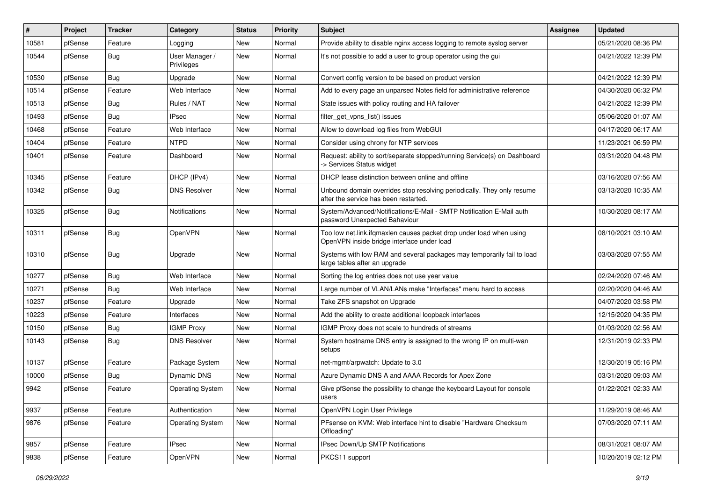| #     | Project | <b>Tracker</b> | Category                     | <b>Status</b> | <b>Priority</b> | <b>Subject</b>                                                                                                    | <b>Assignee</b> | <b>Updated</b>      |
|-------|---------|----------------|------------------------------|---------------|-----------------|-------------------------------------------------------------------------------------------------------------------|-----------------|---------------------|
| 10581 | pfSense | Feature        | Logging                      | New           | Normal          | Provide ability to disable nginx access logging to remote syslog server                                           |                 | 05/21/2020 08:36 PM |
| 10544 | pfSense | Bug            | User Manager /<br>Privileges | New           | Normal          | It's not possible to add a user to group operator using the gui                                                   |                 | 04/21/2022 12:39 PM |
| 10530 | pfSense | Bug            | Upgrade                      | New           | Normal          | Convert config version to be based on product version                                                             |                 | 04/21/2022 12:39 PM |
| 10514 | pfSense | Feature        | Web Interface                | New           | Normal          | Add to every page an unparsed Notes field for administrative reference                                            |                 | 04/30/2020 06:32 PM |
| 10513 | pfSense | Bug            | Rules / NAT                  | New           | Normal          | State issues with policy routing and HA failover                                                                  |                 | 04/21/2022 12:39 PM |
| 10493 | pfSense | Bug            | <b>IPsec</b>                 | New           | Normal          | filter_get_vpns_list() issues                                                                                     |                 | 05/06/2020 01:07 AM |
| 10468 | pfSense | Feature        | Web Interface                | New           | Normal          | Allow to download log files from WebGUI                                                                           |                 | 04/17/2020 06:17 AM |
| 10404 | pfSense | Feature        | <b>NTPD</b>                  | New           | Normal          | Consider using chrony for NTP services                                                                            |                 | 11/23/2021 06:59 PM |
| 10401 | pfSense | Feature        | Dashboard                    | New           | Normal          | Request: ability to sort/separate stopped/running Service(s) on Dashboard<br>-> Services Status widget            |                 | 03/31/2020 04:48 PM |
| 10345 | pfSense | Feature        | DHCP (IPv4)                  | <b>New</b>    | Normal          | DHCP lease distinction between online and offline                                                                 |                 | 03/16/2020 07:56 AM |
| 10342 | pfSense | Bug            | <b>DNS Resolver</b>          | New           | Normal          | Unbound domain overrides stop resolving periodically. They only resume<br>after the service has been restarted.   |                 | 03/13/2020 10:35 AM |
| 10325 | pfSense | Bug            | <b>Notifications</b>         | New           | Normal          | System/Advanced/Notifications/E-Mail - SMTP Notification E-Mail auth<br>password Unexpected Bahaviour             |                 | 10/30/2020 08:17 AM |
| 10311 | pfSense | Bug            | OpenVPN                      | New           | Normal          | Too low net.link.ifqmaxlen causes packet drop under load when using<br>OpenVPN inside bridge interface under load |                 | 08/10/2021 03:10 AM |
| 10310 | pfSense | Bug            | Upgrade                      | New           | Normal          | Systems with low RAM and several packages may temporarily fail to load<br>large tables after an upgrade           |                 | 03/03/2020 07:55 AM |
| 10277 | pfSense | Bug            | Web Interface                | New           | Normal          | Sorting the log entries does not use year value                                                                   |                 | 02/24/2020 07:46 AM |
| 10271 | pfSense | Bug            | Web Interface                | New           | Normal          | Large number of VLAN/LANs make "Interfaces" menu hard to access                                                   |                 | 02/20/2020 04:46 AM |
| 10237 | pfSense | Feature        | Upgrade                      | New           | Normal          | Take ZFS snapshot on Upgrade                                                                                      |                 | 04/07/2020 03:58 PM |
| 10223 | pfSense | Feature        | Interfaces                   | New           | Normal          | Add the ability to create additional loopback interfaces                                                          |                 | 12/15/2020 04:35 PM |
| 10150 | pfSense | <b>Bug</b>     | <b>IGMP Proxy</b>            | New           | Normal          | IGMP Proxy does not scale to hundreds of streams                                                                  |                 | 01/03/2020 02:56 AM |
| 10143 | pfSense | <b>Bug</b>     | <b>DNS Resolver</b>          | New           | Normal          | System hostname DNS entry is assigned to the wrong IP on multi-wan<br>setups                                      |                 | 12/31/2019 02:33 PM |
| 10137 | pfSense | Feature        | Package System               | <b>New</b>    | Normal          | net-mgmt/arpwatch: Update to 3.0                                                                                  |                 | 12/30/2019 05:16 PM |
| 10000 | pfSense | Bug            | Dynamic DNS                  | New           | Normal          | Azure Dynamic DNS A and AAAA Records for Apex Zone                                                                |                 | 03/31/2020 09:03 AM |
| 9942  | pfSense | Feature        | <b>Operating System</b>      | New           | Normal          | Give pfSense the possibility to change the keyboard Layout for console<br>users                                   |                 | 01/22/2021 02:33 AM |
| 9937  | pfSense | Feature        | Authentication               | <b>New</b>    | Normal          | OpenVPN Login User Privilege                                                                                      |                 | 11/29/2019 08:46 AM |
| 9876  | pfSense | Feature        | <b>Operating System</b>      | New           | Normal          | PFsense on KVM: Web interface hint to disable "Hardware Checksum<br>Offloading"                                   |                 | 07/03/2020 07:11 AM |
| 9857  | pfSense | Feature        | <b>IPsec</b>                 | New           | Normal          | IPsec Down/Up SMTP Notifications                                                                                  |                 | 08/31/2021 08:07 AM |
| 9838  | pfSense | Feature        | OpenVPN                      | New           | Normal          | PKCS11 support                                                                                                    |                 | 10/20/2019 02:12 PM |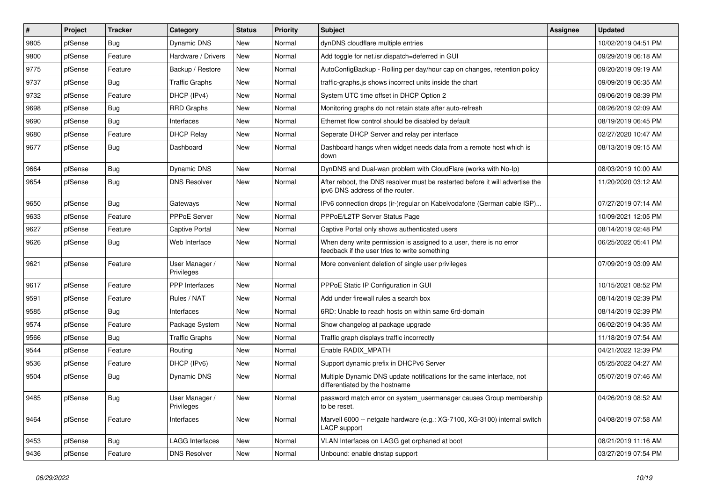| #    | Project | <b>Tracker</b> | Category                     | <b>Status</b> | <b>Priority</b> | <b>Subject</b>                                                                                                       | Assignee | <b>Updated</b>      |
|------|---------|----------------|------------------------------|---------------|-----------------|----------------------------------------------------------------------------------------------------------------------|----------|---------------------|
| 9805 | pfSense | Bug            | Dynamic DNS                  | New           | Normal          | dynDNS cloudflare multiple entries                                                                                   |          | 10/02/2019 04:51 PM |
| 9800 | pfSense | Feature        | Hardware / Drivers           | New           | Normal          | Add toggle for net.isr.dispatch=deferred in GUI                                                                      |          | 09/29/2019 06:18 AM |
| 9775 | pfSense | Feature        | Backup / Restore             | New           | Normal          | AutoConfigBackup - Rolling per day/hour cap on changes, retention policy                                             |          | 09/20/2019 09:19 AM |
| 9737 | pfSense | Bug            | <b>Traffic Graphs</b>        | New           | Normal          | traffic-graphs.js shows incorrect units inside the chart                                                             |          | 09/09/2019 06:35 AM |
| 9732 | pfSense | Feature        | DHCP (IPv4)                  | New           | Normal          | System UTC time offset in DHCP Option 2                                                                              |          | 09/06/2019 08:39 PM |
| 9698 | pfSense | Bug            | <b>RRD Graphs</b>            | New           | Normal          | Monitoring graphs do not retain state after auto-refresh                                                             |          | 08/26/2019 02:09 AM |
| 9690 | pfSense | Bug            | Interfaces                   | New           | Normal          | Ethernet flow control should be disabled by default                                                                  |          | 08/19/2019 06:45 PM |
| 9680 | pfSense | Feature        | <b>DHCP Relay</b>            | New           | Normal          | Seperate DHCP Server and relay per interface                                                                         |          | 02/27/2020 10:47 AM |
| 9677 | pfSense | Bug            | Dashboard                    | New           | Normal          | Dashboard hangs when widget needs data from a remote host which is<br>down                                           |          | 08/13/2019 09:15 AM |
| 9664 | pfSense | Bug            | Dynamic DNS                  | New           | Normal          | DynDNS and Dual-wan problem with CloudFlare (works with No-Ip)                                                       |          | 08/03/2019 10:00 AM |
| 9654 | pfSense | Bug            | <b>DNS Resolver</b>          | New           | Normal          | After reboot, the DNS resolver must be restarted before it will advertise the<br>ipv6 DNS address of the router.     |          | 11/20/2020 03:12 AM |
| 9650 | pfSense | Bug            | Gateways                     | New           | Normal          | IPv6 connection drops (ir-)regular on Kabelvodafone (German cable ISP)                                               |          | 07/27/2019 07:14 AM |
| 9633 | pfSense | Feature        | PPPoE Server                 | New           | Normal          | PPPoE/L2TP Server Status Page                                                                                        |          | 10/09/2021 12:05 PM |
| 9627 | pfSense | Feature        | <b>Captive Portal</b>        | New           | Normal          | Captive Portal only shows authenticated users                                                                        |          | 08/14/2019 02:48 PM |
| 9626 | pfSense | Bug            | Web Interface                | New           | Normal          | When deny write permission is assigned to a user, there is no error<br>feedback if the user tries to write something |          | 06/25/2022 05:41 PM |
| 9621 | pfSense | Feature        | User Manager /<br>Privileges | New           | Normal          | More convenient deletion of single user privileges                                                                   |          | 07/09/2019 03:09 AM |
| 9617 | pfSense | Feature        | PPP Interfaces               | New           | Normal          | PPPoE Static IP Configuration in GUI                                                                                 |          | 10/15/2021 08:52 PM |
| 9591 | pfSense | Feature        | Rules / NAT                  | New           | Normal          | Add under firewall rules a search box                                                                                |          | 08/14/2019 02:39 PM |
| 9585 | pfSense | Bug            | Interfaces                   | New           | Normal          | 6RD: Unable to reach hosts on within same 6rd-domain                                                                 |          | 08/14/2019 02:39 PM |
| 9574 | pfSense | Feature        | Package System               | New           | Normal          | Show changelog at package upgrade                                                                                    |          | 06/02/2019 04:35 AM |
| 9566 | pfSense | Bug            | <b>Traffic Graphs</b>        | New           | Normal          | Traffic graph displays traffic incorrectly                                                                           |          | 11/18/2019 07:54 AM |
| 9544 | pfSense | Feature        | Routing                      | New           | Normal          | Enable RADIX MPATH                                                                                                   |          | 04/21/2022 12:39 PM |
| 9536 | pfSense | Feature        | DHCP (IPv6)                  | New           | Normal          | Support dynamic prefix in DHCPv6 Server                                                                              |          | 05/25/2022 04:27 AM |
| 9504 | pfSense | Bug            | Dynamic DNS                  | New           | Normal          | Multiple Dynamic DNS update notifications for the same interface, not<br>differentiated by the hostname              |          | 05/07/2019 07:46 AM |
| 9485 | pfSense | Bug            | User Manager /<br>Privileges | New           | Normal          | password match error on system_usermanager causes Group membership<br>to be reset.                                   |          | 04/26/2019 08:52 AM |
| 9464 | pfSense | Feature        | Interfaces                   | New           | Normal          | Marvell 6000 -- netgate hardware (e.g.: XG-7100, XG-3100) internal switch<br>LACP support                            |          | 04/08/2019 07:58 AM |
| 9453 | pfSense | Bug            | <b>LAGG Interfaces</b>       | New           | Normal          | VLAN Interfaces on LAGG get orphaned at boot                                                                         |          | 08/21/2019 11:16 AM |
| 9436 | pfSense | Feature        | <b>DNS Resolver</b>          | New           | Normal          | Unbound: enable dnstap support                                                                                       |          | 03/27/2019 07:54 PM |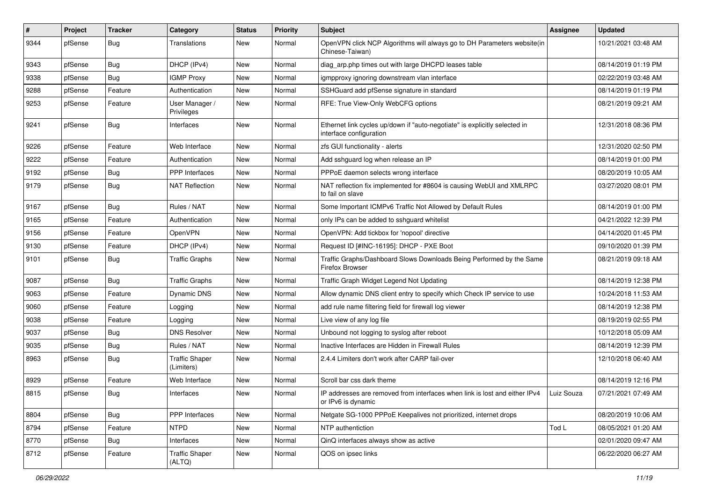| $\#$ | Project | <b>Tracker</b> | Category                            | <b>Status</b> | <b>Priority</b> | <b>Subject</b>                                                                                        | <b>Assignee</b> | <b>Updated</b>      |
|------|---------|----------------|-------------------------------------|---------------|-----------------|-------------------------------------------------------------------------------------------------------|-----------------|---------------------|
| 9344 | pfSense | Bug            | Translations                        | New           | Normal          | OpenVPN click NCP Algorithms will always go to DH Parameters website(in<br>Chinese-Taiwan)            |                 | 10/21/2021 03:48 AM |
| 9343 | pfSense | Bug            | DHCP (IPv4)                         | New           | Normal          | diag arp.php times out with large DHCPD leases table                                                  |                 | 08/14/2019 01:19 PM |
| 9338 | pfSense | Bug            | <b>IGMP Proxy</b>                   | New           | Normal          | igmpproxy ignoring downstream vlan interface                                                          |                 | 02/22/2019 03:48 AM |
| 9288 | pfSense | Feature        | Authentication                      | <b>New</b>    | Normal          | SSHGuard add pfSense signature in standard                                                            |                 | 08/14/2019 01:19 PM |
| 9253 | pfSense | Feature        | User Manager /<br>Privileges        | New           | Normal          | RFE: True View-Only WebCFG options                                                                    |                 | 08/21/2019 09:21 AM |
| 9241 | pfSense | Bug            | Interfaces                          | New           | Normal          | Ethernet link cycles up/down if "auto-negotiate" is explicitly selected in<br>interface configuration |                 | 12/31/2018 08:36 PM |
| 9226 | pfSense | Feature        | Web Interface                       | <b>New</b>    | Normal          | zfs GUI functionality - alerts                                                                        |                 | 12/31/2020 02:50 PM |
| 9222 | pfSense | Feature        | Authentication                      | New           | Normal          | Add sshguard log when release an IP                                                                   |                 | 08/14/2019 01:00 PM |
| 9192 | pfSense | <b>Bug</b>     | <b>PPP</b> Interfaces               | <b>New</b>    | Normal          | PPPoE daemon selects wrong interface                                                                  |                 | 08/20/2019 10:05 AM |
| 9179 | pfSense | Bug            | <b>NAT Reflection</b>               | New           | Normal          | NAT reflection fix implemented for #8604 is causing WebUI and XMLRPC<br>to fail on slave              |                 | 03/27/2020 08:01 PM |
| 9167 | pfSense | Bug            | Rules / NAT                         | <b>New</b>    | Normal          | Some Important ICMPv6 Traffic Not Allowed by Default Rules                                            |                 | 08/14/2019 01:00 PM |
| 9165 | pfSense | Feature        | Authentication                      | <b>New</b>    | Normal          | only IPs can be added to sshguard whitelist                                                           |                 | 04/21/2022 12:39 PM |
| 9156 | pfSense | Feature        | OpenVPN                             | <b>New</b>    | Normal          | OpenVPN: Add tickbox for 'nopool' directive                                                           |                 | 04/14/2020 01:45 PM |
| 9130 | pfSense | Feature        | DHCP (IPv4)                         | <b>New</b>    | Normal          | Request ID [#INC-16195]: DHCP - PXE Boot                                                              |                 | 09/10/2020 01:39 PM |
| 9101 | pfSense | <b>Bug</b>     | <b>Traffic Graphs</b>               | New           | Normal          | Traffic Graphs/Dashboard Slows Downloads Being Performed by the Same<br>Firefox Browser               |                 | 08/21/2019 09:18 AM |
| 9087 | pfSense | Bug            | <b>Traffic Graphs</b>               | <b>New</b>    | Normal          | Traffic Graph Widget Legend Not Updating                                                              |                 | 08/14/2019 12:38 PM |
| 9063 | pfSense | Feature        | Dynamic DNS                         | New           | Normal          | Allow dynamic DNS client entry to specify which Check IP service to use                               |                 | 10/24/2018 11:53 AM |
| 9060 | pfSense | Feature        | Logging                             | <b>New</b>    | Normal          | add rule name filtering field for firewall log viewer                                                 |                 | 08/14/2019 12:38 PM |
| 9038 | pfSense | Feature        | Logging                             | <b>New</b>    | Normal          | Live view of any log file                                                                             |                 | 08/19/2019 02:55 PM |
| 9037 | pfSense | Bug            | <b>DNS Resolver</b>                 | <b>New</b>    | Normal          | Unbound not logging to syslog after reboot                                                            |                 | 10/12/2018 05:09 AM |
| 9035 | pfSense | Bug            | Rules / NAT                         | New           | Normal          | Inactive Interfaces are Hidden in Firewall Rules                                                      |                 | 08/14/2019 12:39 PM |
| 8963 | pfSense | <b>Bug</b>     | <b>Traffic Shaper</b><br>(Limiters) | New           | Normal          | 2.4.4 Limiters don't work after CARP fail-over                                                        |                 | 12/10/2018 06:40 AM |
| 8929 | pfSense | Feature        | Web Interface                       | <b>New</b>    | Normal          | Scroll bar css dark theme                                                                             |                 | 08/14/2019 12:16 PM |
| 8815 | pfSense | <b>Bug</b>     | Interfaces                          | New           | Normal          | IP addresses are removed from interfaces when link is lost and either IPv4<br>or IPv6 is dynamic      | Luiz Souza      | 07/21/2021 07:49 AM |
| 8804 | pfSense | <b>Bug</b>     | <b>PPP</b> Interfaces               | New           | Normal          | Netgate SG-1000 PPPoE Keepalives not prioritized, internet drops                                      |                 | 08/20/2019 10:06 AM |
| 8794 | pfSense | Feature        | <b>NTPD</b>                         | New           | Normal          | NTP authentiction                                                                                     | Tod L           | 08/05/2021 01:20 AM |
| 8770 | pfSense | <b>Bug</b>     | Interfaces                          | New           | Normal          | QinQ interfaces always show as active                                                                 |                 | 02/01/2020 09:47 AM |
| 8712 | pfSense | Feature        | <b>Traffic Shaper</b><br>(ALTQ)     | New           | Normal          | QOS on ipsec links                                                                                    |                 | 06/22/2020 06:27 AM |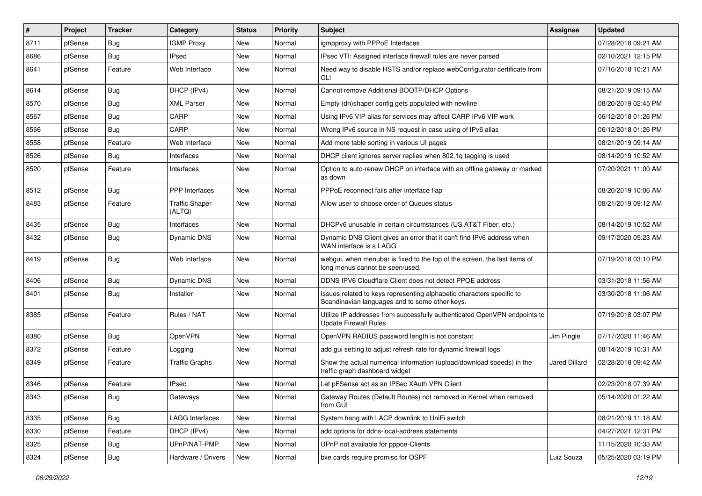| $\vert$ # | Project | <b>Tracker</b> | Category                 | <b>Status</b> | <b>Priority</b> | Subject                                                                                                                 | <b>Assignee</b> | <b>Updated</b>      |
|-----------|---------|----------------|--------------------------|---------------|-----------------|-------------------------------------------------------------------------------------------------------------------------|-----------------|---------------------|
| 8711      | pfSense | Bug            | <b>IGMP Proxy</b>        | New           | Normal          | igmpproxy with PPPoE Interfaces                                                                                         |                 | 07/28/2018 09:21 AM |
| 8686      | pfSense | Bug            | <b>IPsec</b>             | New           | Normal          | IPsec VTI: Assigned interface firewall rules are never parsed                                                           |                 | 02/10/2021 12:15 PM |
| 8641      | pfSense | Feature        | Web Interface            | New           | Normal          | Need way to disable HSTS and/or replace webConfigurator certificate from<br>CLI                                         |                 | 07/16/2018 10:21 AM |
| 8614      | pfSense | Bug            | DHCP (IPv4)              | New           | Normal          | Cannot remove Additional BOOTP/DHCP Options                                                                             |                 | 08/21/2019 09:15 AM |
| 8570      | pfSense | Bug            | <b>XML Parser</b>        | New           | Normal          | Empty (dn)shaper config gets populated with newline                                                                     |                 | 08/20/2019 02:45 PM |
| 8567      | pfSense | Bug            | CARP                     | New           | Normal          | Using IPv6 VIP alias for services may affect CARP IPv6 VIP work                                                         |                 | 06/12/2018 01:26 PM |
| 8566      | pfSense | <b>Bug</b>     | CARP                     | New           | Normal          | Wrong IPv6 source in NS request in case using of IPv6 alias                                                             |                 | 06/12/2018 01:26 PM |
| 8558      | pfSense | Feature        | Web Interface            | New           | Normal          | Add more table sorting in various UI pages                                                                              |                 | 08/21/2019 09:14 AM |
| 8526      | pfSense | Bug            | Interfaces               | New           | Normal          | DHCP client ignores server replies when 802.1q tagging is used                                                          |                 | 08/14/2019 10:52 AM |
| 8520      | pfSense | Feature        | Interfaces               | New           | Normal          | Option to auto-renew DHCP on interface with an offline gateway or marked<br>as down                                     |                 | 07/20/2021 11:00 AM |
| 8512      | pfSense | Bug            | <b>PPP</b> Interfaces    | <b>New</b>    | Normal          | PPPoE reconnect fails after interface flap                                                                              |                 | 08/20/2019 10:06 AM |
| 8483      | pfSense | Feature        | Traffic Shaper<br>(ALTQ) | New           | Normal          | Allow user to choose order of Queues status                                                                             |                 | 08/21/2019 09:12 AM |
| 8435      | pfSense | <b>Bug</b>     | Interfaces               | <b>New</b>    | Normal          | DHCPv6 unusable in certain circumstances (US AT&T Fiber, etc.)                                                          |                 | 08/14/2019 10:52 AM |
| 8432      | pfSense | Bug            | Dynamic DNS              | New           | Normal          | Dynamic DNS Client gives an error that it can't find IPv6 address when<br>WAN interface is a LAGG                       |                 | 09/17/2020 05:23 AM |
| 8419      | pfSense | Bug            | Web Interface            | New           | Normal          | webgui, when menubar is fixed to the top of the screen, the last items of<br>long menus cannot be seen/used.            |                 | 07/19/2018 03:10 PM |
| 8406      | pfSense | <b>Bug</b>     | Dynamic DNS              | <b>New</b>    | Normal          | DDNS IPV6 Cloudflare Client does not detect PPOE address                                                                |                 | 03/31/2018 11:56 AM |
| 8401      | pfSense | Bug            | Installer                | New           | Normal          | Issues related to keys representing alphabetic characters specific to<br>Scandinavian languages and to some other keys. |                 | 03/30/2018 11:06 AM |
| 8385      | pfSense | Feature        | Rules / NAT              | New           | Normal          | Utilize IP addresses from successfully authenticated OpenVPN endpoints to<br><b>Update Firewall Rules</b>               |                 | 07/19/2018 03:07 PM |
| 8380      | pfSense | Bug            | OpenVPN                  | New           | Normal          | OpenVPN RADIUS password length is not constant                                                                          | Jim Pingle      | 07/17/2020 11:46 AM |
| 8372      | pfSense | Feature        | Logging                  | New           | Normal          | add gui setting to adjust refresh rate for dynamic firewall logs                                                        |                 | 08/14/2019 10:31 AM |
| 8349      | pfSense | Feature        | <b>Traffic Graphs</b>    | New           | Normal          | Show the actual numerical information (upload/download speeds) in the<br>traffic graph dashboard widget                 | Jared Dillard   | 02/28/2018 09:42 AM |
| 8346      | pfSense | Feature        | <b>IPsec</b>             | New           | Normal          | Let pFSense act as an IPSec XAuth VPN Client                                                                            |                 | 02/23/2018 07:39 AM |
| 8343      | pfSense | <b>Bug</b>     | Gateways                 | New           | Normal          | Gateway Routes (Default Routes) not removed in Kernel when removed<br>from GUI                                          |                 | 05/14/2020 01:22 AM |
| 8335      | pfSense | Bug            | <b>LAGG Interfaces</b>   | New           | Normal          | System hang with LACP downlink to UniFi switch                                                                          |                 | 08/21/2019 11:18 AM |
| 8330      | pfSense | Feature        | DHCP (IPv4)              | New           | Normal          | add options for ddns-local-address statements                                                                           |                 | 04/27/2021 12:31 PM |
| 8325      | pfSense | <b>Bug</b>     | UPnP/NAT-PMP             | New           | Normal          | UPnP not available for pppoe-Clients                                                                                    |                 | 11/15/2020 10:33 AM |
| 8324      | pfSense | Bug            | Hardware / Drivers       | New           | Normal          | bxe cards require promisc for OSPF                                                                                      | Luiz Souza      | 05/25/2020 03:19 PM |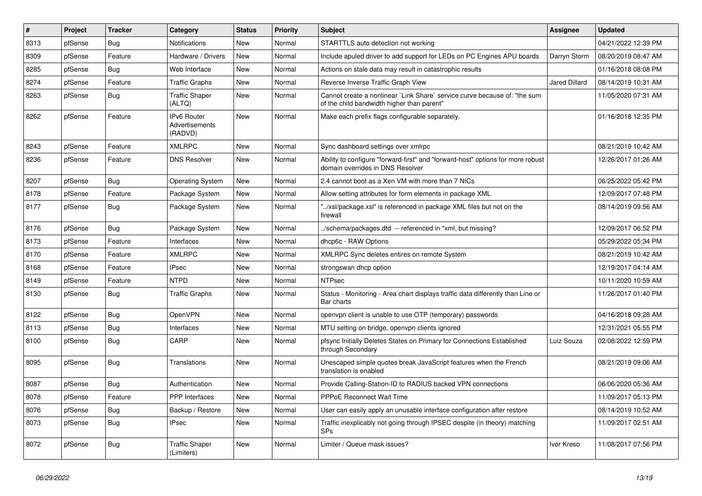| $\vert$ # | Project | <b>Tracker</b> | Category                                 | <b>Status</b> | <b>Priority</b> | <b>Subject</b>                                                                                                          | Assignee             | <b>Updated</b>      |
|-----------|---------|----------------|------------------------------------------|---------------|-----------------|-------------------------------------------------------------------------------------------------------------------------|----------------------|---------------------|
| 8313      | pfSense | Bug            | <b>Notifications</b>                     | New           | Normal          | STARTTLS auto detection not working                                                                                     |                      | 04/21/2022 12:39 PM |
| 8309      | pfSense | Feature        | Hardware / Drivers                       | New           | Normal          | Include apuled driver to add support for LEDs on PC Engines APU boards                                                  | Darryn Storm         | 08/20/2019 08:47 AM |
| 8285      | pfSense | <b>Bug</b>     | Web Interface                            | New           | Normal          | Actions on stale data may result in catastrophic results                                                                |                      | 01/16/2018 08:08 PM |
| 8274      | pfSense | Feature        | <b>Traffic Graphs</b>                    | <b>New</b>    | Normal          | Reverse Inverse Traffic Graph View                                                                                      | <b>Jared Dillard</b> | 08/14/2019 10:31 AM |
| 8263      | pfSense | <b>Bug</b>     | <b>Traffic Shaper</b><br>(ALTQ)          | New           | Normal          | Cannot create a nonlinear `Link Share` service curve because of: "the sum<br>of the child bandwidth higher than parent" |                      | 11/05/2020 07:31 AM |
| 8262      | pfSense | Feature        | IPv6 Router<br>Advertisements<br>(RADVD) | New           | Normal          | Make each prefix flags configurable separately.                                                                         |                      | 01/16/2018 12:35 PM |
| 8243      | pfSense | Feature        | <b>XMLRPC</b>                            | <b>New</b>    | Normal          | Sync dashboard settings over xmlrpc                                                                                     |                      | 08/21/2019 10:42 AM |
| 8236      | pfSense | Feature        | <b>DNS Resolver</b>                      | New           | Normal          | Ability to configure "forward-first" and "forward-host" options for more robust<br>domain overrides in DNS Resolver     |                      | 12/26/2017 01:26 AM |
| 8207      | pfSense | <b>Bug</b>     | <b>Operating System</b>                  | New           | Normal          | 2.4 cannot boot as a Xen VM with more than 7 NICs                                                                       |                      | 06/25/2022 05:42 PM |
| 8178      | pfSense | Feature        | Package System                           | New           | Normal          | Allow setting attributes for form elements in package XML                                                               |                      | 12/09/2017 07:48 PM |
| 8177      | pfSense | <b>Bug</b>     | Package System                           | New           | Normal          | "/xsl/package.xsl" is referenced in package XML files but not on the<br>firewall                                        |                      | 08/14/2019 09:56 AM |
| 8176      | pfSense | Bug            | Package System                           | New           | Normal          | ./schema/packages.dtd -- referenced in *xml, but missing?                                                               |                      | 12/09/2017 06:52 PM |
| 8173      | pfSense | Feature        | Interfaces                               | <b>New</b>    | Normal          | dhcp6c - RAW Options                                                                                                    |                      | 05/29/2022 05:34 PM |
| 8170      | pfSense | Feature        | <b>XMLRPC</b>                            | New           | Normal          | XMLRPC Sync deletes entires on remote System                                                                            |                      | 08/21/2019 10:42 AM |
| 8168      | pfSense | Feature        | <b>IPsec</b>                             | New           | Normal          | strongswan dhcp option                                                                                                  |                      | 12/19/2017 04:14 AM |
| 8149      | pfSense | Feature        | <b>NTPD</b>                              | New           | Normal          | <b>NTPsec</b>                                                                                                           |                      | 10/11/2020 10:59 AM |
| 8130      | pfSense | <b>Bug</b>     | <b>Traffic Graphs</b>                    | New           | Normal          | Status - Monitoring - Area chart displays traffic data differently than Line or<br>Bar charts                           |                      | 11/26/2017 01:40 PM |
| 8122      | pfSense | <b>Bug</b>     | OpenVPN                                  | New           | Normal          | openypn client is unable to use OTP (temporary) passwords                                                               |                      | 04/16/2018 09:28 AM |
| 8113      | pfSense | <b>Bug</b>     | Interfaces                               | New           | Normal          | MTU setting on bridge, openvpn clients ignored                                                                          |                      | 12/31/2021 05:55 PM |
| 8100      | pfSense | <b>Bug</b>     | CARP                                     | New           | Normal          | pfsync Initially Deletes States on Primary for Connections Established<br>through Secondary                             | Luiz Souza           | 02/08/2022 12:59 PM |
| 8095      | pfSense | Bug            | Translations                             | New           | Normal          | Unescaped simple quotes break JavaScript features when the French<br>translation is enabled                             |                      | 08/21/2019 09:06 AM |
| 8087      | pfSense | Bug            | Authentication                           | <b>New</b>    | Normal          | Provide Calling-Station-ID to RADIUS backed VPN connections                                                             |                      | 06/06/2020 05:36 AM |
| 8078      | pfSense | Feature        | PPP Interfaces                           | New           | Normal          | <b>PPPoE Reconnect Wait Time</b>                                                                                        |                      | 11/09/2017 05:13 PM |
| 8076      | pfSense | <b>Bug</b>     | Backup / Restore                         | New           | Normal          | User can easily apply an unusable interface configuration after restore                                                 |                      | 08/14/2019 10:52 AM |
| 8073      | pfSense | <b>Bug</b>     | <b>IPsec</b>                             | New           | Normal          | Traffic inexplicably not going through IPSEC despite (in theory) matching<br><b>SPs</b>                                 |                      | 11/09/2017 02:51 AM |
| 8072      | pfSense | <b>Bug</b>     | <b>Traffic Shaper</b><br>(Limiters)      | New           | Normal          | Limiter / Queue mask issues?                                                                                            | Ivor Kreso           | 11/08/2017 07:56 PM |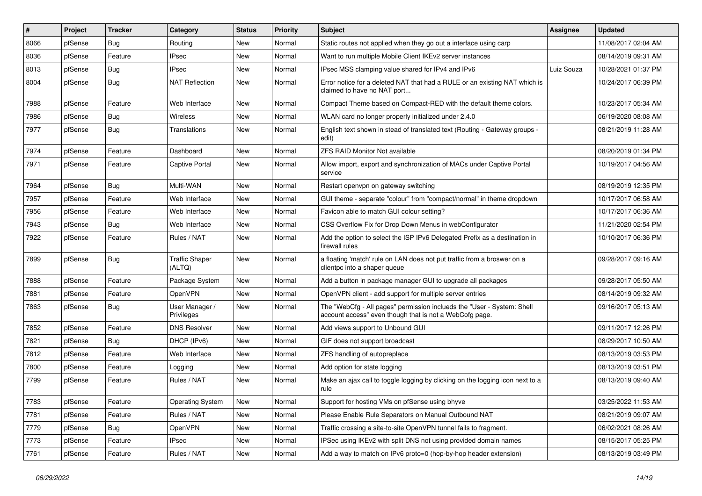| #    | Project | <b>Tracker</b> | Category                        | <b>Status</b> | <b>Priority</b> | <b>Subject</b>                                                                                                                    | <b>Assignee</b> | <b>Updated</b>      |
|------|---------|----------------|---------------------------------|---------------|-----------------|-----------------------------------------------------------------------------------------------------------------------------------|-----------------|---------------------|
| 8066 | pfSense | <b>Bug</b>     | Routing                         | New           | Normal          | Static routes not applied when they go out a interface using carp                                                                 |                 | 11/08/2017 02:04 AM |
| 8036 | pfSense | Feature        | <b>IPsec</b>                    | <b>New</b>    | Normal          | Want to run multiple Mobile Client IKEv2 server instances                                                                         |                 | 08/14/2019 09:31 AM |
| 8013 | pfSense | Bug            | <b>IPsec</b>                    | New           | Normal          | IPsec MSS clamping value shared for IPv4 and IPv6                                                                                 | Luiz Souza      | 10/28/2021 01:37 PM |
| 8004 | pfSense | <b>Bug</b>     | <b>NAT Reflection</b>           | <b>New</b>    | Normal          | Error notice for a deleted NAT that had a RULE or an existing NAT which is<br>claimed to have no NAT port                         |                 | 10/24/2017 06:39 PM |
| 7988 | pfSense | Feature        | Web Interface                   | <b>New</b>    | Normal          | Compact Theme based on Compact-RED with the default theme colors.                                                                 |                 | 10/23/2017 05:34 AM |
| 7986 | pfSense | Bug            | Wireless                        | <b>New</b>    | Normal          | WLAN card no longer properly initialized under 2.4.0                                                                              |                 | 06/19/2020 08:08 AM |
| 7977 | pfSense | Bug            | Translations                    | New           | Normal          | English text shown in stead of translated text (Routing - Gateway groups -<br>edit)                                               |                 | 08/21/2019 11:28 AM |
| 7974 | pfSense | Feature        | Dashboard                       | <b>New</b>    | Normal          | <b>ZFS RAID Monitor Not available</b>                                                                                             |                 | 08/20/2019 01:34 PM |
| 7971 | pfSense | Feature        | <b>Captive Portal</b>           | New           | Normal          | Allow import, export and synchronization of MACs under Captive Portal<br>service                                                  |                 | 10/19/2017 04:56 AM |
| 7964 | pfSense | Bug            | Multi-WAN                       | New           | Normal          | Restart openvpn on gateway switching                                                                                              |                 | 08/19/2019 12:35 PM |
| 7957 | pfSense | Feature        | Web Interface                   | New           | Normal          | GUI theme - separate "colour" from "compact/normal" in theme dropdown                                                             |                 | 10/17/2017 06:58 AM |
| 7956 | pfSense | Feature        | Web Interface                   | New           | Normal          | Favicon able to match GUI colour setting?                                                                                         |                 | 10/17/2017 06:36 AM |
| 7943 | pfSense | <b>Bug</b>     | Web Interface                   | <b>New</b>    | Normal          | CSS Overflow Fix for Drop Down Menus in webConfigurator                                                                           |                 | 11/21/2020 02:54 PM |
| 7922 | pfSense | Feature        | Rules / NAT                     | New           | Normal          | Add the option to select the ISP IPv6 Delegated Prefix as a destination in<br>firewall rules                                      |                 | 10/10/2017 06:36 PM |
| 7899 | pfSense | Bug            | <b>Traffic Shaper</b><br>(ALTQ) | New           | Normal          | a floating 'match' rule on LAN does not put traffic from a broswer on a<br>clientpc into a shaper queue                           |                 | 09/28/2017 09:16 AM |
| 7888 | pfSense | Feature        | Package System                  | <b>New</b>    | Normal          | Add a button in package manager GUI to upgrade all packages                                                                       |                 | 09/28/2017 05:50 AM |
| 7881 | pfSense | Feature        | OpenVPN                         | New           | Normal          | OpenVPN client - add support for multiple server entries                                                                          |                 | 08/14/2019 09:32 AM |
| 7863 | pfSense | Bug            | User Manager /<br>Privileges    | New           | Normal          | The "WebCfg - All pages" permission inclueds the "User - System: Shell<br>account access" even though that is not a WebCofg page. |                 | 09/16/2017 05:13 AM |
| 7852 | pfSense | Feature        | <b>DNS Resolver</b>             | <b>New</b>    | Normal          | Add views support to Unbound GUI                                                                                                  |                 | 09/11/2017 12:26 PM |
| 7821 | pfSense | Bug            | DHCP (IPv6)                     | <b>New</b>    | Normal          | GIF does not support broadcast                                                                                                    |                 | 08/29/2017 10:50 AM |
| 7812 | pfSense | Feature        | Web Interface                   | New           | Normal          | ZFS handling of autopreplace                                                                                                      |                 | 08/13/2019 03:53 PM |
| 7800 | pfSense | Feature        | Logging                         | <b>New</b>    | Normal          | Add option for state logging                                                                                                      |                 | 08/13/2019 03:51 PM |
| 7799 | pfSense | Feature        | Rules / NAT                     | New           | Normal          | Make an ajax call to toggle logging by clicking on the logging icon next to a<br>rule                                             |                 | 08/13/2019 09:40 AM |
| 7783 | pfSense | Feature        | <b>Operating System</b>         | New           | Normal          | Support for hosting VMs on pfSense using bhyve                                                                                    |                 | 03/25/2022 11:53 AM |
| 7781 | pfSense | Feature        | Rules / NAT                     | New           | Normal          | Please Enable Rule Separators on Manual Outbound NAT                                                                              |                 | 08/21/2019 09:07 AM |
| 7779 | pfSense | <b>Bug</b>     | OpenVPN                         | New           | Normal          | Traffic crossing a site-to-site OpenVPN tunnel fails to fragment.                                                                 |                 | 06/02/2021 08:26 AM |
| 7773 | pfSense | Feature        | IPsec                           | New           | Normal          | IPSec using IKEv2 with split DNS not using provided domain names                                                                  |                 | 08/15/2017 05:25 PM |
| 7761 | pfSense | Feature        | Rules / NAT                     | New           | Normal          | Add a way to match on IPv6 proto=0 (hop-by-hop header extension)                                                                  |                 | 08/13/2019 03:49 PM |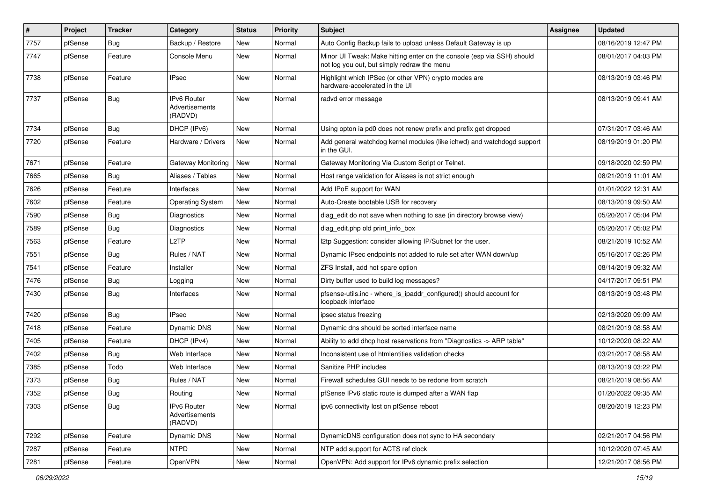| $\vert$ # | Project | <b>Tracker</b> | Category                                 | <b>Status</b> | <b>Priority</b> | Subject                                                                                                               | <b>Assignee</b> | <b>Updated</b>      |
|-----------|---------|----------------|------------------------------------------|---------------|-----------------|-----------------------------------------------------------------------------------------------------------------------|-----------------|---------------------|
| 7757      | pfSense | <b>Bug</b>     | Backup / Restore                         | New           | Normal          | Auto Config Backup fails to upload unless Default Gateway is up                                                       |                 | 08/16/2019 12:47 PM |
| 7747      | pfSense | Feature        | Console Menu                             | New           | Normal          | Minor UI Tweak: Make hitting enter on the console (esp via SSH) should<br>not log you out, but simply redraw the menu |                 | 08/01/2017 04:03 PM |
| 7738      | pfSense | Feature        | <b>IPsec</b>                             | New           | Normal          | Highlight which IPSec (or other VPN) crypto modes are<br>hardware-accelerated in the UI                               |                 | 08/13/2019 03:46 PM |
| 7737      | pfSense | <b>Bug</b>     | IPv6 Router<br>Advertisements<br>(RADVD) | New           | Normal          | radvd error message                                                                                                   |                 | 08/13/2019 09:41 AM |
| 7734      | pfSense | Bug            | DHCP (IPv6)                              | <b>New</b>    | Normal          | Using opton ia pd0 does not renew prefix and prefix get dropped                                                       |                 | 07/31/2017 03:46 AM |
| 7720      | pfSense | Feature        | Hardware / Drivers                       | New           | Normal          | Add general watchdog kernel modules (like ichwd) and watchdogd support<br>in the GUI.                                 |                 | 08/19/2019 01:20 PM |
| 7671      | pfSense | Feature        | Gateway Monitoring                       | New           | Normal          | Gateway Monitoring Via Custom Script or Telnet.                                                                       |                 | 09/18/2020 02:59 PM |
| 7665      | pfSense | Bug            | Aliases / Tables                         | <b>New</b>    | Normal          | Host range validation for Aliases is not strict enough                                                                |                 | 08/21/2019 11:01 AM |
| 7626      | pfSense | Feature        | Interfaces                               | New           | Normal          | Add IPoE support for WAN                                                                                              |                 | 01/01/2022 12:31 AM |
| 7602      | pfSense | Feature        | <b>Operating System</b>                  | New           | Normal          | Auto-Create bootable USB for recovery                                                                                 |                 | 08/13/2019 09:50 AM |
| 7590      | pfSense | <b>Bug</b>     | Diagnostics                              | New           | Normal          | diag_edit do not save when nothing to sae (in directory browse view)                                                  |                 | 05/20/2017 05:04 PM |
| 7589      | pfSense | Bug            | Diagnostics                              | New           | Normal          | diag edit.php old print info box                                                                                      |                 | 05/20/2017 05:02 PM |
| 7563      | pfSense | Feature        | L <sub>2</sub> TP                        | New           | Normal          | I2tp Suggestion: consider allowing IP/Subnet for the user.                                                            |                 | 08/21/2019 10:52 AM |
| 7551      | pfSense | Bug            | Rules / NAT                              | New           | Normal          | Dynamic IPsec endpoints not added to rule set after WAN down/up                                                       |                 | 05/16/2017 02:26 PM |
| 7541      | pfSense | Feature        | Installer                                | New           | Normal          | ZFS Install, add hot spare option                                                                                     |                 | 08/14/2019 09:32 AM |
| 7476      | pfSense | Bug            | Logging                                  | New           | Normal          | Dirty buffer used to build log messages?                                                                              |                 | 04/17/2017 09:51 PM |
| 7430      | pfSense | <b>Bug</b>     | Interfaces                               | New           | Normal          | pfsense-utils.inc - where_is_ipaddr_configured() should account for<br>loopback interface                             |                 | 08/13/2019 03:48 PM |
| 7420      | pfSense | <b>Bug</b>     | <b>IPsec</b>                             | <b>New</b>    | Normal          | ipsec status freezing                                                                                                 |                 | 02/13/2020 09:09 AM |
| 7418      | pfSense | Feature        | Dynamic DNS                              | New           | Normal          | Dynamic dns should be sorted interface name                                                                           |                 | 08/21/2019 08:58 AM |
| 7405      | pfSense | Feature        | DHCP (IPv4)                              | New           | Normal          | Ability to add dhcp host reservations from "Diagnostics -> ARP table"                                                 |                 | 10/12/2020 08:22 AM |
| 7402      | pfSense | Bug            | Web Interface                            | New           | Normal          | Inconsistent use of htmlentities validation checks                                                                    |                 | 03/21/2017 08:58 AM |
| 7385      | pfSense | Todo           | Web Interface                            | New           | Normal          | Sanitize PHP includes                                                                                                 |                 | 08/13/2019 03:22 PM |
| 7373      | pfSense | <b>Bug</b>     | Rules / NAT                              | New           | Normal          | Firewall schedules GUI needs to be redone from scratch                                                                |                 | 08/21/2019 08:56 AM |
| 7352      | pfSense | Bug            | Routing                                  | New           | Normal          | pfSense IPv6 static route is dumped after a WAN flap                                                                  |                 | 01/20/2022 09:35 AM |
| 7303      | pfSense | Bug            | IPv6 Router<br>Advertisements<br>(RADVD) | New           | Normal          | ipv6 connectivity lost on pfSense reboot                                                                              |                 | 08/20/2019 12:23 PM |
| 7292      | pfSense | Feature        | Dynamic DNS                              | New           | Normal          | DynamicDNS configuration does not sync to HA secondary                                                                |                 | 02/21/2017 04:56 PM |
| 7287      | pfSense | Feature        | <b>NTPD</b>                              | New           | Normal          | NTP add support for ACTS ref clock                                                                                    |                 | 10/12/2020 07:45 AM |
| 7281      | pfSense | Feature        | OpenVPN                                  | New           | Normal          | OpenVPN: Add support for IPv6 dynamic prefix selection                                                                |                 | 12/21/2017 08:56 PM |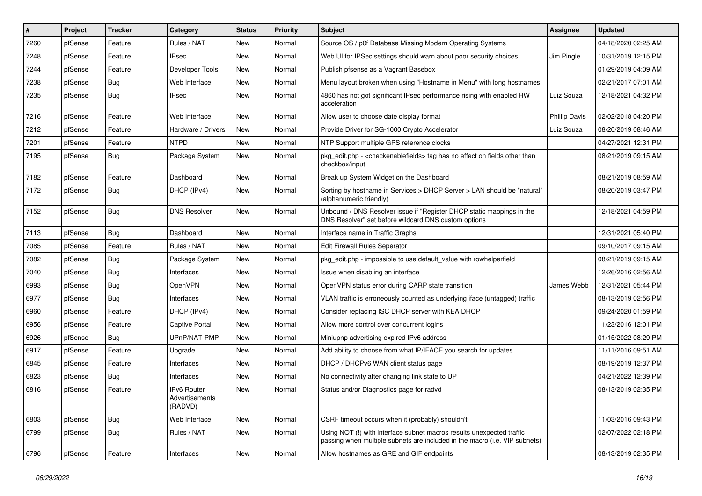| $\pmb{\sharp}$ | Project | <b>Tracker</b> | Category                                 | <b>Status</b> | <b>Priority</b> | <b>Subject</b>                                                                                                                                      | Assignee             | <b>Updated</b>      |
|----------------|---------|----------------|------------------------------------------|---------------|-----------------|-----------------------------------------------------------------------------------------------------------------------------------------------------|----------------------|---------------------|
| 7260           | pfSense | Feature        | Rules / NAT                              | New           | Normal          | Source OS / p0f Database Missing Modern Operating Systems                                                                                           |                      | 04/18/2020 02:25 AM |
| 7248           | pfSense | Feature        | <b>IPsec</b>                             | New           | Normal          | Web UI for IPSec settings should warn about poor security choices                                                                                   | Jim Pingle           | 10/31/2019 12:15 PM |
| 7244           | pfSense | Feature        | Developer Tools                          | New           | Normal          | Publish pfsense as a Vagrant Basebox                                                                                                                |                      | 01/29/2019 04:09 AM |
| 7238           | pfSense | <b>Bug</b>     | Web Interface                            | New           | Normal          | Menu layout broken when using "Hostname in Menu" with long hostnames                                                                                |                      | 02/21/2017 07:01 AM |
| 7235           | pfSense | <b>Bug</b>     | <b>IPsec</b>                             | <b>New</b>    | Normal          | 4860 has not got significant IPsec performance rising with enabled HW<br>acceleration                                                               | Luiz Souza           | 12/18/2021 04:32 PM |
| 7216           | pfSense | Feature        | Web Interface                            | New           | Normal          | Allow user to choose date display format                                                                                                            | <b>Phillip Davis</b> | 02/02/2018 04:20 PM |
| 7212           | pfSense | Feature        | Hardware / Drivers                       | New           | Normal          | Provide Driver for SG-1000 Crypto Accelerator                                                                                                       | Luiz Souza           | 08/20/2019 08:46 AM |
| 7201           | pfSense | Feature        | <b>NTPD</b>                              | New           | Normal          | NTP Support multiple GPS reference clocks                                                                                                           |                      | 04/27/2021 12:31 PM |
| 7195           | pfSense | <b>Bug</b>     | Package System                           | New           | Normal          | pkg_edit.php - < checkenablefields> tag has no effect on fields other than<br>checkbox/input                                                        |                      | 08/21/2019 09:15 AM |
| 7182           | pfSense | Feature        | Dashboard                                | <b>New</b>    | Normal          | Break up System Widget on the Dashboard                                                                                                             |                      | 08/21/2019 08:59 AM |
| 7172           | pfSense | Bug            | DHCP (IPv4)                              | New           | Normal          | Sorting by hostname in Services > DHCP Server > LAN should be "natural"<br>(alphanumeric friendly)                                                  |                      | 08/20/2019 03:47 PM |
| 7152           | pfSense | <b>Bug</b>     | <b>DNS Resolver</b>                      | New           | Normal          | Unbound / DNS Resolver issue if "Register DHCP static mappings in the<br>DNS Resolver" set before wildcard DNS custom options                       |                      | 12/18/2021 04:59 PM |
| 7113           | pfSense | Bug            | Dashboard                                | New           | Normal          | Interface name in Traffic Graphs                                                                                                                    |                      | 12/31/2021 05:40 PM |
| 7085           | pfSense | Feature        | Rules / NAT                              | New           | Normal          | Edit Firewall Rules Seperator                                                                                                                       |                      | 09/10/2017 09:15 AM |
| 7082           | pfSense | <b>Bug</b>     | Package System                           | New           | Normal          | pkg edit.php - impossible to use default value with rowhelperfield                                                                                  |                      | 08/21/2019 09:15 AM |
| 7040           | pfSense | Bug            | Interfaces                               | New           | Normal          | Issue when disabling an interface                                                                                                                   |                      | 12/26/2016 02:56 AM |
| 6993           | pfSense | Bug            | OpenVPN                                  | <b>New</b>    | Normal          | OpenVPN status error during CARP state transition                                                                                                   | James Webb           | 12/31/2021 05:44 PM |
| 6977           | pfSense | Bug            | Interfaces                               | New           | Normal          | VLAN traffic is erroneously counted as underlying iface (untagged) traffic                                                                          |                      | 08/13/2019 02:56 PM |
| 6960           | pfSense | Feature        | DHCP (IPv4)                              | New           | Normal          | Consider replacing ISC DHCP server with KEA DHCP                                                                                                    |                      | 09/24/2020 01:59 PM |
| 6956           | pfSense | Feature        | Captive Portal                           | New           | Normal          | Allow more control over concurrent logins                                                                                                           |                      | 11/23/2016 12:01 PM |
| 6926           | pfSense | Bug            | UPnP/NAT-PMP                             | New           | Normal          | Miniupnp advertising expired IPv6 address                                                                                                           |                      | 01/15/2022 08:29 PM |
| 6917           | pfSense | Feature        | Upgrade                                  | New           | Normal          | Add ability to choose from what IP/IFACE you search for updates                                                                                     |                      | 11/11/2016 09:51 AM |
| 6845           | pfSense | Feature        | Interfaces                               | New           | Normal          | DHCP / DHCPv6 WAN client status page                                                                                                                |                      | 08/19/2019 12:37 PM |
| 6823           | pfSense | <b>Bug</b>     | Interfaces                               | New           | Normal          | No connectivity after changing link state to UP                                                                                                     |                      | 04/21/2022 12:39 PM |
| 6816           | pfSense | Feature        | IPv6 Router<br>Advertisements<br>(RADVD) | New           | Normal          | Status and/or Diagnostics page for radvd                                                                                                            |                      | 08/13/2019 02:35 PM |
| 6803           | pfSense | <b>Bug</b>     | Web Interface                            | New           | Normal          | CSRF timeout occurs when it (probably) shouldn't                                                                                                    |                      | 11/03/2016 09:43 PM |
| 6799           | pfSense | <b>Bug</b>     | Rules / NAT                              | New           | Normal          | Using NOT (!) with interface subnet macros results unexpected traffic<br>passing when multiple subnets are included in the macro (i.e. VIP subnets) |                      | 02/07/2022 02:18 PM |
| 6796           | pfSense | Feature        | Interfaces                               | New           | Normal          | Allow hostnames as GRE and GIF endpoints                                                                                                            |                      | 08/13/2019 02:35 PM |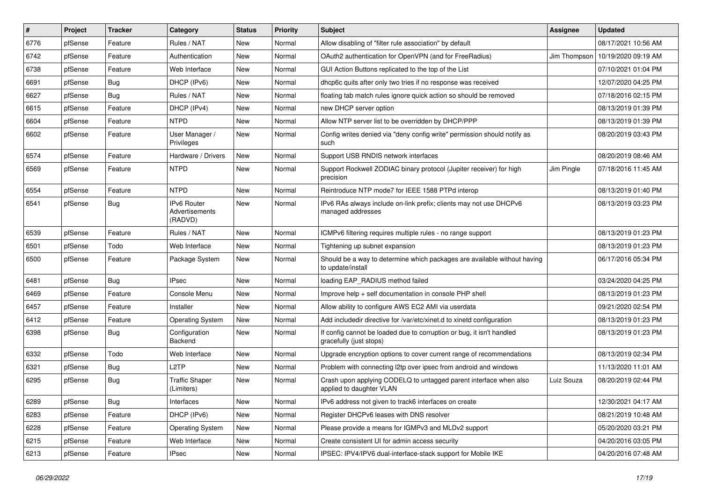| #    | Project | <b>Tracker</b> | Category                                        | <b>Status</b> | <b>Priority</b> | Subject                                                                                          | Assignee     | <b>Updated</b>      |
|------|---------|----------------|-------------------------------------------------|---------------|-----------------|--------------------------------------------------------------------------------------------------|--------------|---------------------|
| 6776 | pfSense | Feature        | Rules / NAT                                     | New           | Normal          | Allow disabling of "filter rule association" by default                                          |              | 08/17/2021 10:56 AM |
| 6742 | pfSense | Feature        | Authentication                                  | New           | Normal          | OAuth2 authentication for OpenVPN (and for FreeRadius)                                           | Jim Thompson | 10/19/2020 09:19 AM |
| 6738 | pfSense | Feature        | Web Interface                                   | New           | Normal          | GUI Action Buttons replicated to the top of the List                                             |              | 07/10/2021 01:04 PM |
| 6691 | pfSense | Bug            | DHCP (IPv6)                                     | New           | Normal          | dhcp6c quits after only two tries if no response was received                                    |              | 12/07/2020 04:25 PM |
| 6627 | pfSense | Bug            | Rules / NAT                                     | New           | Normal          | floating tab match rules ignore quick action so should be removed                                |              | 07/18/2016 02:15 PM |
| 6615 | pfSense | Feature        | DHCP (IPv4)                                     | New           | Normal          | new DHCP server option                                                                           |              | 08/13/2019 01:39 PM |
| 6604 | pfSense | Feature        | <b>NTPD</b>                                     | New           | Normal          | Allow NTP server list to be overridden by DHCP/PPP                                               |              | 08/13/2019 01:39 PM |
| 6602 | pfSense | Feature        | User Manager /<br>Privileges                    | New           | Normal          | Config writes denied via "deny config write" permission should notify as<br>such                 |              | 08/20/2019 03:43 PM |
| 6574 | pfSense | Feature        | Hardware / Drivers                              | <b>New</b>    | Normal          | Support USB RNDIS network interfaces                                                             |              | 08/20/2019 08:46 AM |
| 6569 | pfSense | Feature        | <b>NTPD</b>                                     | New           | Normal          | Support Rockwell ZODIAC binary protocol (Jupiter receiver) for high<br>precision                 | Jim Pingle   | 07/18/2016 11:45 AM |
| 6554 | pfSense | Feature        | <b>NTPD</b>                                     | New           | Normal          | Reintroduce NTP mode7 for IEEE 1588 PTPd interop                                                 |              | 08/13/2019 01:40 PM |
| 6541 | pfSense | Bug            | <b>IPv6 Router</b><br>Advertisements<br>(RADVD) | New           | Normal          | IPv6 RAs always include on-link prefix; clients may not use DHCPv6<br>managed addresses          |              | 08/13/2019 03:23 PM |
| 6539 | pfSense | Feature        | Rules / NAT                                     | New           | Normal          | ICMPv6 filtering requires multiple rules - no range support                                      |              | 08/13/2019 01:23 PM |
| 6501 | pfSense | Todo           | Web Interface                                   | New           | Normal          | Tightening up subnet expansion                                                                   |              | 08/13/2019 01:23 PM |
| 6500 | pfSense | Feature        | Package System                                  | New           | Normal          | Should be a way to determine which packages are available without having<br>to update/install    |              | 06/17/2016 05:34 PM |
| 6481 | pfSense | Bug            | IPsec                                           | New           | Normal          | loading EAP_RADIUS method failed                                                                 |              | 03/24/2020 04:25 PM |
| 6469 | pfSense | Feature        | Console Menu                                    | New           | Normal          | Improve help + self documentation in console PHP shell                                           |              | 08/13/2019 01:23 PM |
| 6457 | pfSense | Feature        | Installer                                       | New           | Normal          | Allow ability to configure AWS EC2 AMI via userdata                                              |              | 09/21/2020 02:54 PM |
| 6412 | pfSense | Feature        | <b>Operating System</b>                         | New           | Normal          | Add includedir directive for /var/etc/xinet.d to xinetd configuration                            |              | 08/13/2019 01:23 PM |
| 6398 | pfSense | Bug            | Configuration<br>Backend                        | New           | Normal          | If config cannot be loaded due to corruption or bug, it isn't handled<br>gracefully (just stops) |              | 08/13/2019 01:23 PM |
| 6332 | pfSense | Todo           | Web Interface                                   | New           | Normal          | Upgrade encryption options to cover current range of recommendations                             |              | 08/13/2019 02:34 PM |
| 6321 | pfSense | Bug            | L2TP                                            | New           | Normal          | Problem with connecting I2tp over ipsec from android and windows                                 |              | 11/13/2020 11:01 AM |
| 6295 | pfSense | <b>Bug</b>     | <b>Traffic Shaper</b><br>(Limiters)             | New           | Normal          | Crash upon applying CODELQ to untagged parent interface when also<br>applied to daughter VLAN    | Luiz Souza   | 08/20/2019 02:44 PM |
| 6289 | pfSense | <b>Bug</b>     | Interfaces                                      | New           | Normal          | IPv6 address not given to track6 interfaces on create                                            |              | 12/30/2021 04:17 AM |
| 6283 | pfSense | Feature        | DHCP (IPv6)                                     | New           | Normal          | Register DHCPv6 leases with DNS resolver                                                         |              | 08/21/2019 10:48 AM |
| 6228 | pfSense | Feature        | <b>Operating System</b>                         | New           | Normal          | Please provide a means for IGMPv3 and MLDv2 support                                              |              | 05/20/2020 03:21 PM |
| 6215 | pfSense | Feature        | Web Interface                                   | New           | Normal          | Create consistent UI for admin access security                                                   |              | 04/20/2016 03:05 PM |
| 6213 | pfSense | Feature        | <b>IPsec</b>                                    | New           | Normal          | IPSEC: IPV4/IPV6 dual-interface-stack support for Mobile IKE                                     |              | 04/20/2016 07:48 AM |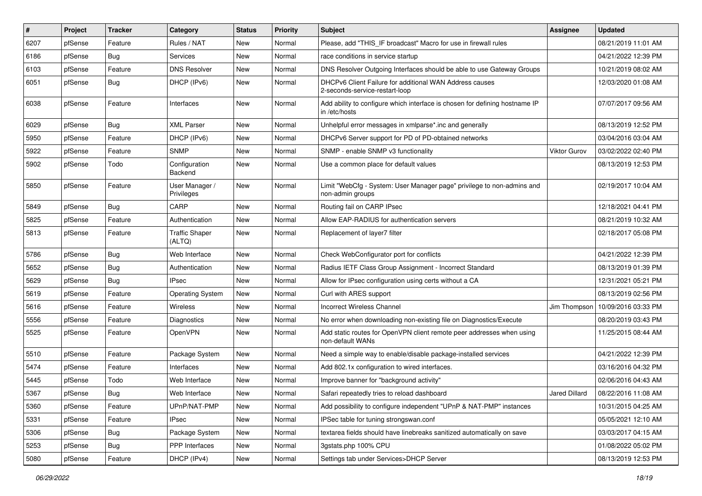| #    | Project | <b>Tracker</b> | Category                        | <b>Status</b> | <b>Priority</b> | Subject                                                                                      | <b>Assignee</b> | <b>Updated</b>      |
|------|---------|----------------|---------------------------------|---------------|-----------------|----------------------------------------------------------------------------------------------|-----------------|---------------------|
| 6207 | pfSense | Feature        | Rules / NAT                     | New           | Normal          | Please, add "THIS IF broadcast" Macro for use in firewall rules                              |                 | 08/21/2019 11:01 AM |
| 6186 | pfSense | <b>Bug</b>     | Services                        | New           | Normal          | race conditions in service startup                                                           |                 | 04/21/2022 12:39 PM |
| 6103 | pfSense | Feature        | <b>DNS Resolver</b>             | New           | Normal          | DNS Resolver Outgoing Interfaces should be able to use Gateway Groups                        |                 | 10/21/2019 08:02 AM |
| 6051 | pfSense | <b>Bug</b>     | DHCP (IPv6)                     | New           | Normal          | DHCPv6 Client Failure for additional WAN Address causes<br>2-seconds-service-restart-loop    |                 | 12/03/2020 01:08 AM |
| 6038 | pfSense | Feature        | Interfaces                      | <b>New</b>    | Normal          | Add ability to configure which interface is chosen for defining hostname IP<br>in /etc/hosts |                 | 07/07/2017 09:56 AM |
| 6029 | pfSense | <b>Bug</b>     | <b>XML Parser</b>               | <b>New</b>    | Normal          | Unhelpful error messages in xmlparse*.inc and generally                                      |                 | 08/13/2019 12:52 PM |
| 5950 | pfSense | Feature        | DHCP (IPv6)                     | New           | Normal          | DHCPv6 Server support for PD of PD-obtained networks                                         |                 | 03/04/2016 03:04 AM |
| 5922 | pfSense | Feature        | <b>SNMP</b>                     | New           | Normal          | SNMP - enable SNMP v3 functionality                                                          | Viktor Gurov    | 03/02/2022 02:40 PM |
| 5902 | pfSense | Todo           | Configuration<br>Backend        | New           | Normal          | Use a common place for default values                                                        |                 | 08/13/2019 12:53 PM |
| 5850 | pfSense | Feature        | User Manager /<br>Privileges    | New           | Normal          | Limit "WebCfg - System: User Manager page" privilege to non-admins and<br>non-admin groups   |                 | 02/19/2017 10:04 AM |
| 5849 | pfSense | Bug            | CARP                            | <b>New</b>    | Normal          | Routing fail on CARP IPsec                                                                   |                 | 12/18/2021 04:41 PM |
| 5825 | pfSense | Feature        | Authentication                  | New           | Normal          | Allow EAP-RADIUS for authentication servers                                                  |                 | 08/21/2019 10:32 AM |
| 5813 | pfSense | Feature        | <b>Traffic Shaper</b><br>(ALTQ) | New           | Normal          | Replacement of layer7 filter                                                                 |                 | 02/18/2017 05:08 PM |
| 5786 | pfSense | <b>Bug</b>     | Web Interface                   | <b>New</b>    | Normal          | Check WebConfigurator port for conflicts                                                     |                 | 04/21/2022 12:39 PM |
| 5652 | pfSense | <b>Bug</b>     | Authentication                  | New           | Normal          | Radius IETF Class Group Assignment - Incorrect Standard                                      |                 | 08/13/2019 01:39 PM |
| 5629 | pfSense | Bug            | <b>IPsec</b>                    | <b>New</b>    | Normal          | Allow for IPsec configuration using certs without a CA                                       |                 | 12/31/2021 05:21 PM |
| 5619 | pfSense | Feature        | <b>Operating System</b>         | <b>New</b>    | Normal          | Curl with ARES support                                                                       |                 | 08/13/2019 02:56 PM |
| 5616 | pfSense | Feature        | Wireless                        | New           | Normal          | <b>Incorrect Wireless Channel</b>                                                            | Jim Thompson    | 10/09/2016 03:33 PM |
| 5556 | pfSense | Feature        | Diagnostics                     | <b>New</b>    | Normal          | No error when downloading non-existing file on Diagnostics/Execute                           |                 | 08/20/2019 03:43 PM |
| 5525 | pfSense | Feature        | OpenVPN                         | New           | Normal          | Add static routes for OpenVPN client remote peer addresses when using<br>non-default WANs    |                 | 11/25/2015 08:44 AM |
| 5510 | pfSense | Feature        | Package System                  | New           | Normal          | Need a simple way to enable/disable package-installed services                               |                 | 04/21/2022 12:39 PM |
| 5474 | pfSense | Feature        | Interfaces                      | <b>New</b>    | Normal          | Add 802.1x configuration to wired interfaces.                                                |                 | 03/16/2016 04:32 PM |
| 5445 | pfSense | Todo           | Web Interface                   | New           | Normal          | Improve banner for "background activity"                                                     |                 | 02/06/2016 04:43 AM |
| 5367 | pfSense | Bug            | Web Interface                   | New           | Normal          | Safari repeatedly tries to reload dashboard                                                  | Jared Dillard   | 08/22/2016 11:08 AM |
| 5360 | pfSense | Feature        | UPnP/NAT-PMP                    | New           | Normal          | Add possibility to configure independent "UPnP & NAT-PMP" instances                          |                 | 10/31/2015 04:25 AM |
| 5331 | pfSense | Feature        | <b>IPsec</b>                    | New           | Normal          | IPSec table for tuning strongswan.conf                                                       |                 | 05/05/2021 12:10 AM |
| 5306 | pfSense | <b>Bug</b>     | Package System                  | New           | Normal          | textarea fields should have linebreaks sanitized automatically on save                       |                 | 03/03/2017 04:15 AM |
| 5253 | pfSense | <b>Bug</b>     | <b>PPP</b> Interfaces           | New           | Normal          | 3gstats.php 100% CPU                                                                         |                 | 01/08/2022 05:02 PM |
| 5080 | pfSense | Feature        | DHCP (IPv4)                     | New           | Normal          | Settings tab under Services>DHCP Server                                                      |                 | 08/13/2019 12:53 PM |